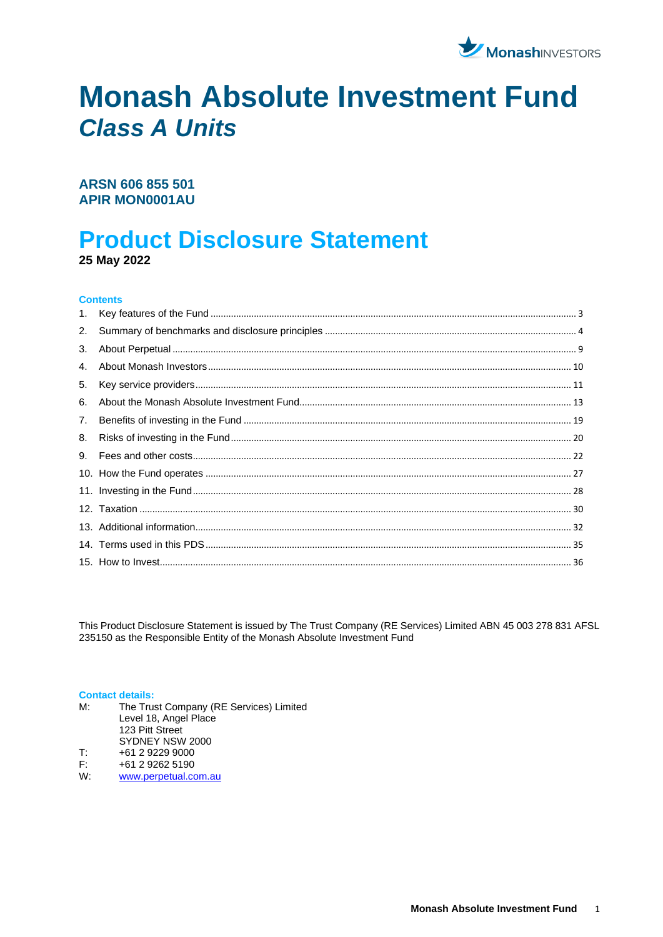

# **Monash Absolute Investment Fund Class A Units**

# ARSN 606 855 501 **APIR MON0001AU**

# **Product Disclosure Statement**

25 May 2022

#### **Contents**

| 3. |  |
|----|--|
| 4. |  |
| 5. |  |
| 6. |  |
| 7. |  |
| 8. |  |
|    |  |
|    |  |
|    |  |
|    |  |
|    |  |
|    |  |
|    |  |

This Product Disclosure Statement is issued by The Trust Company (RE Services) Limited ABN 45 003 278 831 AFSL 235150 as the Responsible Entity of the Monash Absolute Investment Fund

#### **Contact details:**

- $M:$ The Trust Company (RE Services) Limited Level 18, Angel Place 123 Pitt Street SYDNEY NSW 2000 +61 2 9229 9000 T:
- $F$ : +61 2 9262 5190
- $W$ www.perpetual.com.au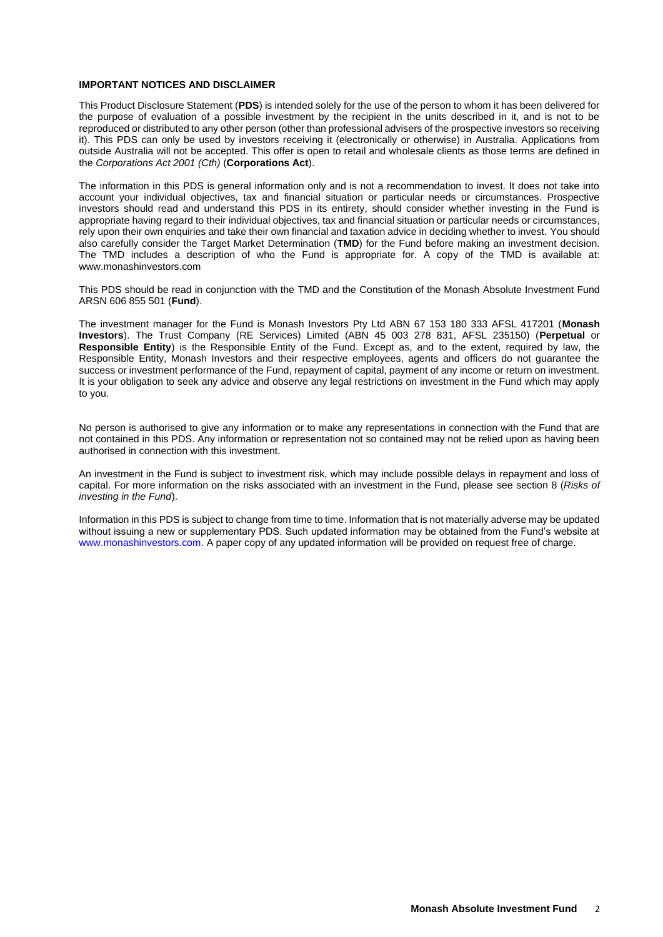#### **IMPORTANT NOTICES AND DISCLAIMER**

This Product Disclosure Statement (**PDS**) is intended solely for the use of the person to whom it has been delivered for the purpose of evaluation of a possible investment by the recipient in the units described in it, and is not to be reproduced or distributed to any other person (other than professional advisers of the prospective investors so receiving it). This PDS can only be used by investors receiving it (electronically or otherwise) in Australia. Applications from outside Australia will not be accepted. This offer is open to retail and wholesale clients as those terms are defined in the *Corporations Act 2001 (Cth)* (**Corporations Act**).

The information in this PDS is general information only and is not a recommendation to invest. It does not take into account your individual objectives, tax and financial situation or particular needs or circumstances. Prospective investors should read and understand this PDS in its entirety, should consider whether investing in the Fund is appropriate having regard to their individual objectives, tax and financial situation or particular needs or circumstances, rely upon their own enquiries and take their own financial and taxation advice in deciding whether to invest. You should also carefully consider the Target Market Determination (**TMD**) for the Fund before making an investment decision. The TMD includes a description of who the Fund is appropriate for. A copy of the TMD is available at: www.monashinvestors.com

This PDS should be read in conjunction with the TMD and the Constitution of the Monash Absolute Investment Fund ARSN 606 855 501 (**Fund**).

The investment manager for the Fund is Monash Investors Pty Ltd ABN 67 153 180 333 AFSL 417201 (**Monash Investors**). The Trust Company (RE Services) Limited (ABN 45 003 278 831, AFSL 235150) (**Perpetual** or **Responsible Entity**) is the Responsible Entity of the Fund. Except as, and to the extent, required by law, the Responsible Entity, Monash Investors and their respective employees, agents and officers do not guarantee the success or investment performance of the Fund, repayment of capital, payment of any income or return on investment. It is your obligation to seek any advice and observe any legal restrictions on investment in the Fund which may apply to you.

No person is authorised to give any information or to make any representations in connection with the Fund that are not contained in this PDS. Any information or representation not so contained may not be relied upon as having been authorised in connection with this investment.

An investment in the Fund is subject to investment risk, which may include possible delays in repayment and loss of capital. For more information on the risks associated with an investment in the Fund, please see section 8 (*Risks of investing in the Fund*).

Information in this PDS is subject to change from time to time. Information that is not materially adverse may be updated without issuing a new or supplementary PDS. Such updated information may be obtained from the Fund's website at www.monashinvestors.com. A paper copy of any updated information will be provided on request free of charge.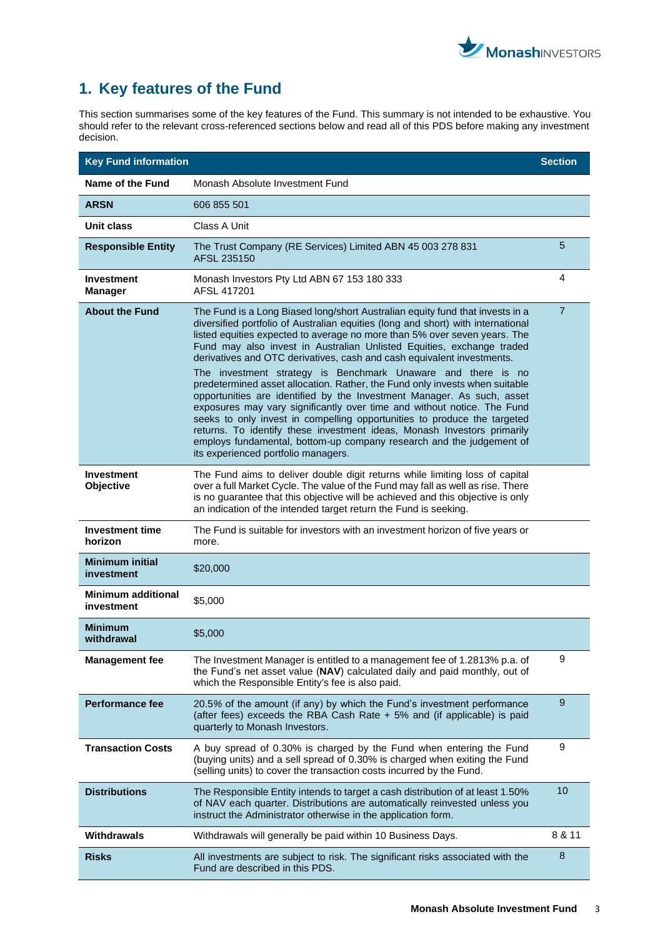

# <span id="page-2-0"></span>**1. Key features of the Fund**

This section summarises some of the key features of the Fund. This summary is not intended to be exhaustive. You should refer to the relevant cross-referenced sections below and read all of this PDS before making any investment decision.

| <b>Key Fund information</b>             |                                                                                                                                                                                                                                                                                                                                                                                                                                                                                                                                                                        | <b>Section</b> |
|-----------------------------------------|------------------------------------------------------------------------------------------------------------------------------------------------------------------------------------------------------------------------------------------------------------------------------------------------------------------------------------------------------------------------------------------------------------------------------------------------------------------------------------------------------------------------------------------------------------------------|----------------|
| Name of the Fund                        | Monash Absolute Investment Fund                                                                                                                                                                                                                                                                                                                                                                                                                                                                                                                                        |                |
| <b>ARSN</b>                             | 606 855 501                                                                                                                                                                                                                                                                                                                                                                                                                                                                                                                                                            |                |
| Unit class                              | Class A Unit                                                                                                                                                                                                                                                                                                                                                                                                                                                                                                                                                           |                |
| <b>Responsible Entity</b>               | The Trust Company (RE Services) Limited ABN 45 003 278 831<br>AFSL 235150                                                                                                                                                                                                                                                                                                                                                                                                                                                                                              | 5              |
| Investment<br><b>Manager</b>            | Monash Investors Pty Ltd ABN 67 153 180 333<br>AFSL 417201                                                                                                                                                                                                                                                                                                                                                                                                                                                                                                             | 4              |
| <b>About the Fund</b>                   | The Fund is a Long Biased long/short Australian equity fund that invests in a<br>diversified portfolio of Australian equities (long and short) with international<br>listed equities expected to average no more than 5% over seven years. The<br>Fund may also invest in Australian Unlisted Equities, exchange traded<br>derivatives and OTC derivatives, cash and cash equivalent investments.                                                                                                                                                                      | $\overline{7}$ |
|                                         | The investment strategy is Benchmark Unaware and there is no<br>predetermined asset allocation. Rather, the Fund only invests when suitable<br>opportunities are identified by the Investment Manager. As such, asset<br>exposures may vary significantly over time and without notice. The Fund<br>seeks to only invest in compelling opportunities to produce the targeted<br>returns. To identify these investment ideas, Monash Investors primarily<br>employs fundamental, bottom-up company research and the judgement of<br>its experienced portfolio managers. |                |
| <b>Investment</b><br>Objective          | The Fund aims to deliver double digit returns while limiting loss of capital<br>over a full Market Cycle. The value of the Fund may fall as well as rise. There<br>is no guarantee that this objective will be achieved and this objective is only<br>an indication of the intended target return the Fund is seeking.                                                                                                                                                                                                                                                 |                |
| <b>Investment time</b><br>horizon       | The Fund is suitable for investors with an investment horizon of five years or<br>more.                                                                                                                                                                                                                                                                                                                                                                                                                                                                                |                |
| <b>Minimum initial</b><br>investment    | \$20,000                                                                                                                                                                                                                                                                                                                                                                                                                                                                                                                                                               |                |
| <b>Minimum additional</b><br>investment | \$5,000                                                                                                                                                                                                                                                                                                                                                                                                                                                                                                                                                                |                |
| <b>Minimum</b><br>withdrawal            | \$5,000                                                                                                                                                                                                                                                                                                                                                                                                                                                                                                                                                                |                |
| <b>Management fee</b>                   | The Investment Manager is entitled to a management fee of 1.2813% p.a. of<br>the Fund's net asset value (NAV) calculated daily and paid monthly, out of<br>which the Responsible Entity's fee is also paid.                                                                                                                                                                                                                                                                                                                                                            | 9              |
| <b>Performance fee</b>                  | 20.5% of the amount (if any) by which the Fund's investment performance<br>(after fees) exceeds the RBA Cash Rate + 5% and (if applicable) is paid<br>quarterly to Monash Investors.                                                                                                                                                                                                                                                                                                                                                                                   | 9              |
| <b>Transaction Costs</b>                | A buy spread of 0.30% is charged by the Fund when entering the Fund<br>(buying units) and a sell spread of 0.30% is charged when exiting the Fund<br>(selling units) to cover the transaction costs incurred by the Fund.                                                                                                                                                                                                                                                                                                                                              | 9              |
| <b>Distributions</b>                    | The Responsible Entity intends to target a cash distribution of at least 1.50%<br>of NAV each quarter. Distributions are automatically reinvested unless you<br>instruct the Administrator otherwise in the application form.                                                                                                                                                                                                                                                                                                                                          | 10             |
| Withdrawals                             | Withdrawals will generally be paid within 10 Business Days.                                                                                                                                                                                                                                                                                                                                                                                                                                                                                                            | 8 & 11         |
| <b>Risks</b>                            | All investments are subject to risk. The significant risks associated with the<br>Fund are described in this PDS.                                                                                                                                                                                                                                                                                                                                                                                                                                                      | 8              |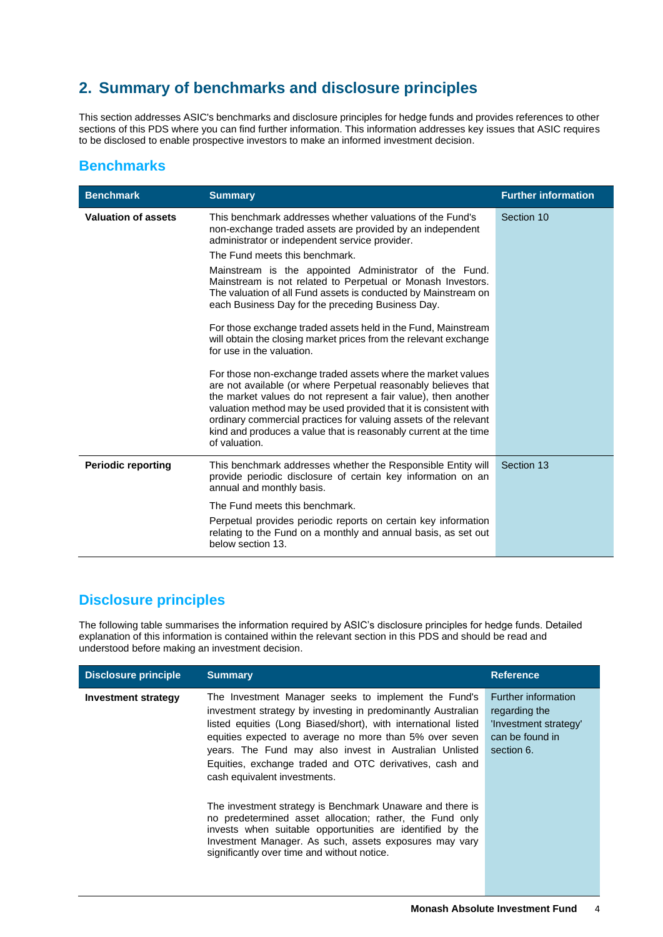# <span id="page-3-0"></span>**2. Summary of benchmarks and disclosure principles**

This section addresses ASIC's benchmarks and disclosure principles for hedge funds and provides references to other sections of this PDS where you can find further information. This information addresses key issues that ASIC requires to be disclosed to enable prospective investors to make an informed investment decision.

# **Benchmarks**

| <b>Benchmark</b>           | <b>Summary</b>                                                                                                                                                                                                                                                                                                                                                                                                                | <b>Further information</b> |
|----------------------------|-------------------------------------------------------------------------------------------------------------------------------------------------------------------------------------------------------------------------------------------------------------------------------------------------------------------------------------------------------------------------------------------------------------------------------|----------------------------|
| <b>Valuation of assets</b> | This benchmark addresses whether valuations of the Fund's<br>non-exchange traded assets are provided by an independent<br>administrator or independent service provider.<br>The Fund meets this benchmark.                                                                                                                                                                                                                    | Section 10                 |
|                            | Mainstream is the appointed Administrator of the Fund.<br>Mainstream is not related to Perpetual or Monash Investors.<br>The valuation of all Fund assets is conducted by Mainstream on<br>each Business Day for the preceding Business Day.                                                                                                                                                                                  |                            |
|                            | For those exchange traded assets held in the Fund, Mainstream<br>will obtain the closing market prices from the relevant exchange<br>for use in the valuation.                                                                                                                                                                                                                                                                |                            |
|                            | For those non-exchange traded assets where the market values<br>are not available (or where Perpetual reasonably believes that<br>the market values do not represent a fair value), then another<br>valuation method may be used provided that it is consistent with<br>ordinary commercial practices for valuing assets of the relevant<br>kind and produces a value that is reasonably current at the time<br>of valuation. |                            |
| <b>Periodic reporting</b>  | This benchmark addresses whether the Responsible Entity will<br>provide periodic disclosure of certain key information on an<br>annual and monthly basis.                                                                                                                                                                                                                                                                     | Section 13                 |
|                            | The Fund meets this benchmark.                                                                                                                                                                                                                                                                                                                                                                                                |                            |
|                            | Perpetual provides periodic reports on certain key information<br>relating to the Fund on a monthly and annual basis, as set out<br>below section 13.                                                                                                                                                                                                                                                                         |                            |

# **Disclosure principles**

The following table summarises the information required by ASIC's disclosure principles for hedge funds. Detailed explanation of this information is contained within the relevant section in this PDS and should be read and understood before making an investment decision.

| <b>Disclosure principle</b> | <b>Summary</b>                                                                                                                                                                                                                                                                                                                                                                                                                                                                                                                                                                               | <b>Reference</b>                                                                               |
|-----------------------------|----------------------------------------------------------------------------------------------------------------------------------------------------------------------------------------------------------------------------------------------------------------------------------------------------------------------------------------------------------------------------------------------------------------------------------------------------------------------------------------------------------------------------------------------------------------------------------------------|------------------------------------------------------------------------------------------------|
| <b>Investment strategy</b>  | The Investment Manager seeks to implement the Fund's<br>investment strategy by investing in predominantly Australian<br>listed equities (Long Biased/short), with international listed<br>equities expected to average no more than 5% over seven<br>years. The Fund may also invest in Australian Unlisted<br>Equities, exchange traded and OTC derivatives, cash and<br>cash equivalent investments.<br>The investment strategy is Benchmark Unaware and there is<br>no predetermined asset allocation; rather, the Fund only<br>invests when suitable opportunities are identified by the | Further information<br>regarding the<br>'Investment strategy'<br>can be found in<br>section 6. |
|                             | Investment Manager. As such, assets exposures may vary<br>significantly over time and without notice.                                                                                                                                                                                                                                                                                                                                                                                                                                                                                        |                                                                                                |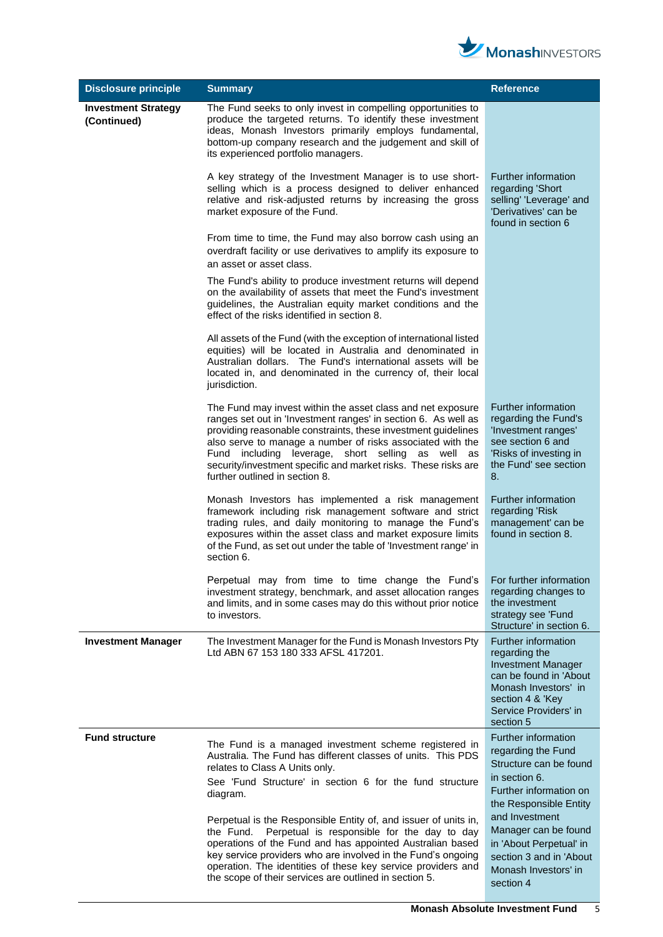

| <b>Disclosure principle</b>               | <b>Summary</b>                                                                                                                                                                                                                                                                                                                                                                                                           | <b>Reference</b>                                                                                                                                                              |
|-------------------------------------------|--------------------------------------------------------------------------------------------------------------------------------------------------------------------------------------------------------------------------------------------------------------------------------------------------------------------------------------------------------------------------------------------------------------------------|-------------------------------------------------------------------------------------------------------------------------------------------------------------------------------|
| <b>Investment Strategy</b><br>(Continued) | The Fund seeks to only invest in compelling opportunities to<br>produce the targeted returns. To identify these investment<br>ideas, Monash Investors primarily employs fundamental,<br>bottom-up company research and the judgement and skill of<br>its experienced portfolio managers.                                                                                                                                 |                                                                                                                                                                               |
|                                           | A key strategy of the Investment Manager is to use short-<br>selling which is a process designed to deliver enhanced<br>relative and risk-adjusted returns by increasing the gross<br>market exposure of the Fund.                                                                                                                                                                                                       | Further information<br>regarding 'Short<br>selling' 'Leverage' and<br>'Derivatives' can be<br>found in section 6                                                              |
|                                           | From time to time, the Fund may also borrow cash using an<br>overdraft facility or use derivatives to amplify its exposure to<br>an asset or asset class.                                                                                                                                                                                                                                                                |                                                                                                                                                                               |
|                                           | The Fund's ability to produce investment returns will depend<br>on the availability of assets that meet the Fund's investment<br>guidelines, the Australian equity market conditions and the<br>effect of the risks identified in section 8.                                                                                                                                                                             |                                                                                                                                                                               |
|                                           | All assets of the Fund (with the exception of international listed<br>equities) will be located in Australia and denominated in<br>Australian dollars. The Fund's international assets will be<br>located in, and denominated in the currency of, their local<br>jurisdiction.                                                                                                                                           |                                                                                                                                                                               |
|                                           | The Fund may invest within the asset class and net exposure<br>ranges set out in 'Investment ranges' in section 6. As well as<br>providing reasonable constraints, these investment guidelines<br>also serve to manage a number of risks associated with the<br>Fund including leverage, short selling<br>as well as<br>security/investment specific and market risks. These risks are<br>further outlined in section 8. | Further information<br>regarding the Fund's<br>'Investment ranges'<br>see section 6 and<br>'Risks of investing in<br>the Fund' see section<br>8.                              |
|                                           | Monash Investors has implemented a risk management<br>framework including risk management software and strict<br>trading rules, and daily monitoring to manage the Fund's<br>exposures within the asset class and market exposure limits<br>of the Fund, as set out under the table of 'Investment range' in<br>section 6.                                                                                               | Further information<br>regarding 'Risk<br>management' can be<br>found in section 8.                                                                                           |
|                                           | Perpetual may from time to time change the Fund's<br>investment strategy, benchmark, and asset allocation ranges<br>and limits, and in some cases may do this without prior notice<br>to investors.                                                                                                                                                                                                                      | For further information<br>regarding changes to<br>the investment<br>strategy see 'Fund<br>Structure' in section 6.                                                           |
| <b>Investment Manager</b>                 | The Investment Manager for the Fund is Monash Investors Pty<br>Ltd ABN 67 153 180 333 AFSL 417201.                                                                                                                                                                                                                                                                                                                       | Further information<br>regarding the<br><b>Investment Manager</b><br>can be found in 'About<br>Monash Investors' in<br>section 4 & 'Key<br>Service Providers' in<br>section 5 |
| <b>Fund structure</b>                     | The Fund is a managed investment scheme registered in<br>Australia. The Fund has different classes of units. This PDS<br>relates to Class A Units only.<br>See 'Fund Structure' in section 6 for the fund structure<br>diagram.                                                                                                                                                                                          | Further information<br>regarding the Fund<br>Structure can be found<br>in section 6.<br>Further information on<br>the Responsible Entity                                      |
|                                           | Perpetual is the Responsible Entity of, and issuer of units in,<br>Perpetual is responsible for the day to day<br>the Fund.<br>operations of the Fund and has appointed Australian based<br>key service providers who are involved in the Fund's ongoing<br>operation. The identities of these key service providers and<br>the scope of their services are outlined in section 5.                                       | and Investment<br>Manager can be found<br>in 'About Perpetual' in<br>section 3 and in 'About<br>Monash Investors' in<br>section 4                                             |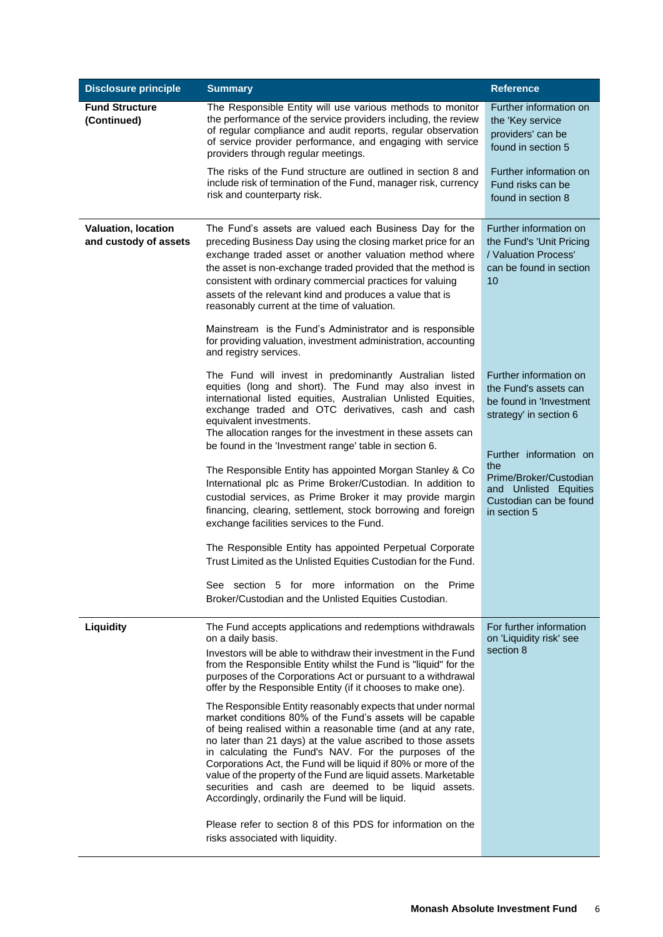| <b>Disclosure principle</b>                         | <b>Summary</b>                                                                                                                                                                                                                                                                                                                                                                                                                                                                                                                                                       | <b>Reference</b>                                                                                                           |
|-----------------------------------------------------|----------------------------------------------------------------------------------------------------------------------------------------------------------------------------------------------------------------------------------------------------------------------------------------------------------------------------------------------------------------------------------------------------------------------------------------------------------------------------------------------------------------------------------------------------------------------|----------------------------------------------------------------------------------------------------------------------------|
| <b>Fund Structure</b><br>(Continued)                | The Responsible Entity will use various methods to monitor<br>the performance of the service providers including, the review<br>of regular compliance and audit reports, regular observation<br>of service provider performance, and engaging with service<br>providers through regular meetings.                                                                                                                                                                                                                                                                    | Further information on<br>the 'Key service<br>providers' can be<br>found in section 5                                      |
|                                                     | The risks of the Fund structure are outlined in section 8 and<br>include risk of termination of the Fund, manager risk, currency<br>risk and counterparty risk.                                                                                                                                                                                                                                                                                                                                                                                                      | Further information on<br>Fund risks can be<br>found in section 8                                                          |
| <b>Valuation, location</b><br>and custody of assets | The Fund's assets are valued each Business Day for the<br>preceding Business Day using the closing market price for an<br>exchange traded asset or another valuation method where<br>the asset is non-exchange traded provided that the method is<br>consistent with ordinary commercial practices for valuing<br>assets of the relevant kind and produces a value that is<br>reasonably current at the time of valuation.<br>Mainstream is the Fund's Administrator and is responsible                                                                              | Further information on<br>the Fund's 'Unit Pricing<br>/ Valuation Process'<br>can be found in section<br>10                |
|                                                     | for providing valuation, investment administration, accounting<br>and registry services.                                                                                                                                                                                                                                                                                                                                                                                                                                                                             |                                                                                                                            |
|                                                     | The Fund will invest in predominantly Australian listed<br>equities (long and short). The Fund may also invest in<br>international listed equities, Australian Unlisted Equities,<br>exchange traded and OTC derivatives, cash and cash<br>equivalent investments.<br>The allocation ranges for the investment in these assets can                                                                                                                                                                                                                                   | Further information on<br>the Fund's assets can<br>be found in 'Investment<br>strategy' in section 6                       |
|                                                     | be found in the 'Investment range' table in section 6.<br>The Responsible Entity has appointed Morgan Stanley & Co<br>International plc as Prime Broker/Custodian. In addition to<br>custodial services, as Prime Broker it may provide margin<br>financing, clearing, settlement, stock borrowing and foreign<br>exchange facilities services to the Fund.                                                                                                                                                                                                          | Further information on<br>the<br>Prime/Broker/Custodian<br>and Unlisted Equities<br>Custodian can be found<br>in section 5 |
|                                                     | The Responsible Entity has appointed Perpetual Corporate<br>Trust Limited as the Unlisted Equities Custodian for the Fund.                                                                                                                                                                                                                                                                                                                                                                                                                                           |                                                                                                                            |
|                                                     | See section 5 for more information on the Prime<br>Broker/Custodian and the Unlisted Equities Custodian.                                                                                                                                                                                                                                                                                                                                                                                                                                                             |                                                                                                                            |
| Liquidity                                           | The Fund accepts applications and redemptions withdrawals<br>on a daily basis.                                                                                                                                                                                                                                                                                                                                                                                                                                                                                       | For further information<br>on 'Liquidity risk' see                                                                         |
|                                                     | Investors will be able to withdraw their investment in the Fund<br>from the Responsible Entity whilst the Fund is "liquid" for the<br>purposes of the Corporations Act or pursuant to a withdrawal<br>offer by the Responsible Entity (if it chooses to make one).                                                                                                                                                                                                                                                                                                   | section 8                                                                                                                  |
|                                                     | The Responsible Entity reasonably expects that under normal<br>market conditions 80% of the Fund's assets will be capable<br>of being realised within a reasonable time (and at any rate,<br>no later than 21 days) at the value ascribed to those assets<br>in calculating the Fund's NAV. For the purposes of the<br>Corporations Act, the Fund will be liquid if 80% or more of the<br>value of the property of the Fund are liquid assets. Marketable<br>securities and cash are deemed to be liquid assets.<br>Accordingly, ordinarily the Fund will be liquid. |                                                                                                                            |
|                                                     | Please refer to section 8 of this PDS for information on the<br>risks associated with liquidity.                                                                                                                                                                                                                                                                                                                                                                                                                                                                     |                                                                                                                            |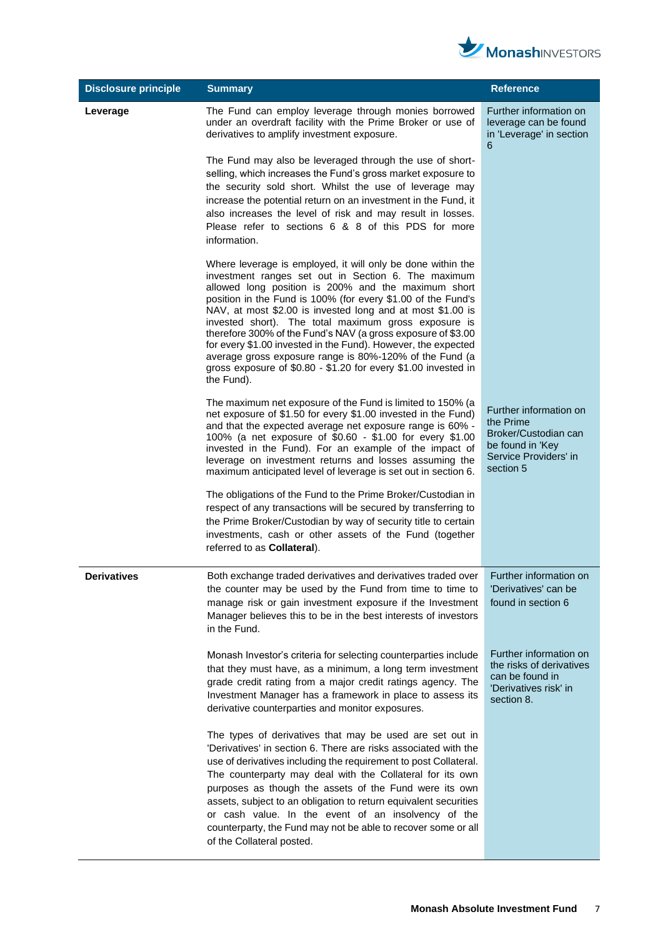

| <b>Disclosure principle</b> | <b>Summary</b>                                                                                                                                                                                                                                                                                                                                                                                                                                                                                                                                                                                                                              | <b>Reference</b>                                                                                                      |
|-----------------------------|---------------------------------------------------------------------------------------------------------------------------------------------------------------------------------------------------------------------------------------------------------------------------------------------------------------------------------------------------------------------------------------------------------------------------------------------------------------------------------------------------------------------------------------------------------------------------------------------------------------------------------------------|-----------------------------------------------------------------------------------------------------------------------|
| Leverage                    | The Fund can employ leverage through monies borrowed<br>under an overdraft facility with the Prime Broker or use of<br>derivatives to amplify investment exposure.                                                                                                                                                                                                                                                                                                                                                                                                                                                                          | Further information on<br>leverage can be found<br>in 'Leverage' in section<br>6                                      |
|                             | The Fund may also be leveraged through the use of short-<br>selling, which increases the Fund's gross market exposure to<br>the security sold short. Whilst the use of leverage may<br>increase the potential return on an investment in the Fund, it<br>also increases the level of risk and may result in losses.<br>Please refer to sections 6 & 8 of this PDS for more<br>information.                                                                                                                                                                                                                                                  |                                                                                                                       |
|                             | Where leverage is employed, it will only be done within the<br>investment ranges set out in Section 6. The maximum<br>allowed long position is 200% and the maximum short<br>position in the Fund is 100% (for every \$1.00 of the Fund's<br>NAV, at most \$2.00 is invested long and at most \$1.00 is<br>invested short). The total maximum gross exposure is<br>therefore 300% of the Fund's NAV (a gross exposure of \$3.00<br>for every \$1.00 invested in the Fund). However, the expected<br>average gross exposure range is 80%-120% of the Fund (a<br>gross exposure of \$0.80 - \$1.20 for every \$1.00 invested in<br>the Fund). |                                                                                                                       |
|                             | The maximum net exposure of the Fund is limited to 150% (a<br>net exposure of \$1.50 for every \$1.00 invested in the Fund)<br>and that the expected average net exposure range is 60% -<br>100% (a net exposure of \$0.60 - \$1.00 for every \$1.00<br>invested in the Fund). For an example of the impact of<br>leverage on investment returns and losses assuming the<br>maximum anticipated level of leverage is set out in section 6.                                                                                                                                                                                                  | Further information on<br>the Prime<br>Broker/Custodian can<br>be found in 'Key<br>Service Providers' in<br>section 5 |
|                             | The obligations of the Fund to the Prime Broker/Custodian in<br>respect of any transactions will be secured by transferring to<br>the Prime Broker/Custodian by way of security title to certain<br>investments, cash or other assets of the Fund (together<br>referred to as <b>Collateral</b> ).                                                                                                                                                                                                                                                                                                                                          |                                                                                                                       |
| <b>Derivatives</b>          | Both exchange traded derivatives and derivatives traded over<br>the counter may be used by the Fund from time to time to<br>manage risk or gain investment exposure if the Investment<br>Manager believes this to be in the best interests of investors<br>in the Fund.                                                                                                                                                                                                                                                                                                                                                                     | Further information on<br>'Derivatives' can be<br>found in section 6                                                  |
|                             | Monash Investor's criteria for selecting counterparties include<br>that they must have, as a minimum, a long term investment<br>grade credit rating from a major credit ratings agency. The<br>Investment Manager has a framework in place to assess its<br>derivative counterparties and monitor exposures.                                                                                                                                                                                                                                                                                                                                | Further information on<br>the risks of derivatives<br>can be found in<br>'Derivatives risk' in<br>section 8.          |
|                             | The types of derivatives that may be used are set out in<br>'Derivatives' in section 6. There are risks associated with the<br>use of derivatives including the requirement to post Collateral.<br>The counterparty may deal with the Collateral for its own<br>purposes as though the assets of the Fund were its own<br>assets, subject to an obligation to return equivalent securities<br>or cash value. In the event of an insolvency of the<br>counterparty, the Fund may not be able to recover some or all<br>of the Collateral posted.                                                                                             |                                                                                                                       |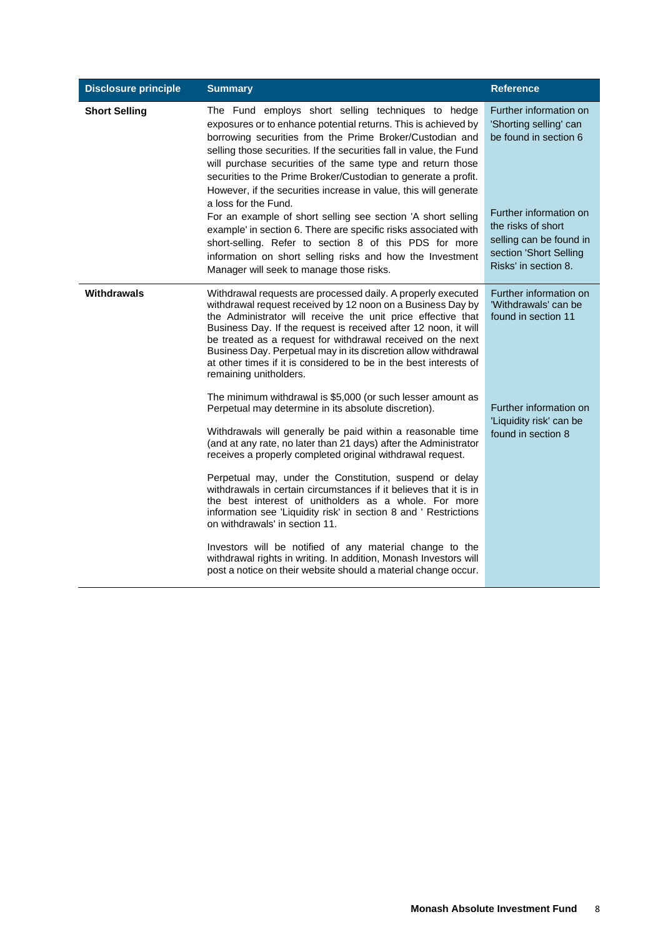| <b>Disclosure principle</b> | <b>Summary</b>                                                                                                                                                                                                                                                                                                                                                                                                                                                                                                                                                                                                                                                                                                                                                                                                        | <b>Reference</b>                                                                                                                                                                                       |
|-----------------------------|-----------------------------------------------------------------------------------------------------------------------------------------------------------------------------------------------------------------------------------------------------------------------------------------------------------------------------------------------------------------------------------------------------------------------------------------------------------------------------------------------------------------------------------------------------------------------------------------------------------------------------------------------------------------------------------------------------------------------------------------------------------------------------------------------------------------------|--------------------------------------------------------------------------------------------------------------------------------------------------------------------------------------------------------|
| <b>Short Selling</b>        | The Fund employs short selling techniques to hedge<br>exposures or to enhance potential returns. This is achieved by<br>borrowing securities from the Prime Broker/Custodian and<br>selling those securities. If the securities fall in value, the Fund<br>will purchase securities of the same type and return those<br>securities to the Prime Broker/Custodian to generate a profit.<br>However, if the securities increase in value, this will generate<br>a loss for the Fund.<br>For an example of short selling see section 'A short selling<br>example' in section 6. There are specific risks associated with<br>short-selling. Refer to section 8 of this PDS for more<br>information on short selling risks and how the Investment<br>Manager will seek to manage those risks.                             | Further information on<br>'Shorting selling' can<br>be found in section 6<br>Further information on<br>the risks of short<br>selling can be found in<br>section 'Short Selling<br>Risks' in section 8. |
| Withdrawals                 | Withdrawal requests are processed daily. A properly executed<br>withdrawal request received by 12 noon on a Business Day by<br>the Administrator will receive the unit price effective that<br>Business Day. If the request is received after 12 noon, it will<br>be treated as a request for withdrawal received on the next<br>Business Day. Perpetual may in its discretion allow withdrawal<br>at other times if it is considered to be in the best interests of<br>remaining unitholders.                                                                                                                                                                                                                                                                                                                        | Further information on<br>'Withdrawals' can be<br>found in section 11                                                                                                                                  |
|                             | The minimum withdrawal is \$5,000 (or such lesser amount as<br>Perpetual may determine in its absolute discretion).<br>Withdrawals will generally be paid within a reasonable time<br>(and at any rate, no later than 21 days) after the Administrator<br>receives a properly completed original withdrawal request.<br>Perpetual may, under the Constitution, suspend or delay<br>withdrawals in certain circumstances if it believes that it is in<br>the best interest of unitholders as a whole. For more<br>information see 'Liquidity risk' in section 8 and ' Restrictions<br>on withdrawals' in section 11.<br>Investors will be notified of any material change to the<br>withdrawal rights in writing. In addition, Monash Investors will<br>post a notice on their website should a material change occur. | Further information on<br>'Liquidity risk' can be<br>found in section 8                                                                                                                                |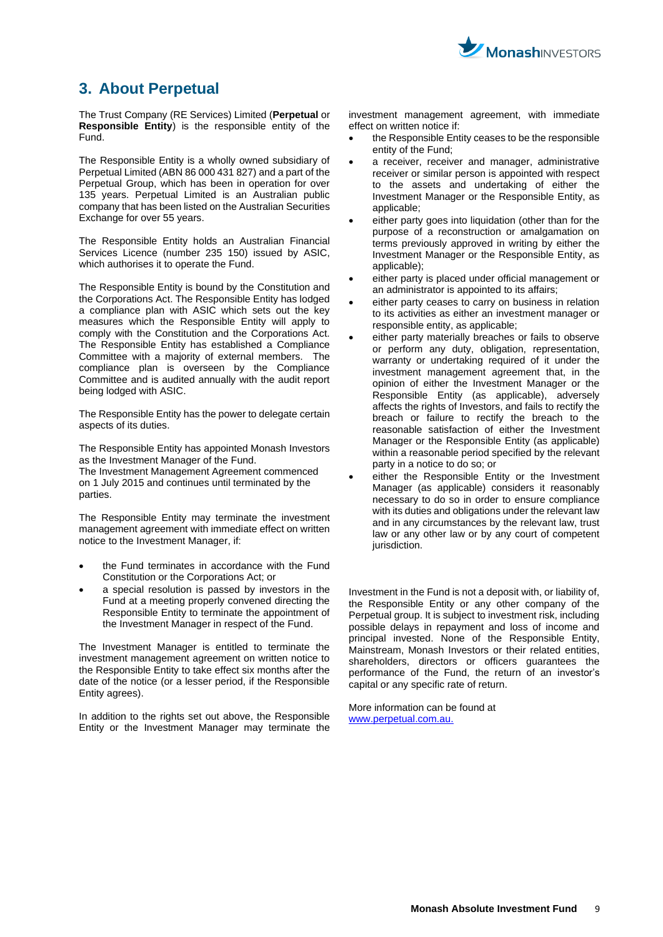

# <span id="page-8-0"></span>**3. About Perpetual**

The Trust Company (RE Services) Limited (**Perpetual** or **Responsible Entity**) is the responsible entity of the Fund.

The Responsible Entity is a wholly owned subsidiary of Perpetual Limited (ABN 86 000 431 827) and a part of the Perpetual Group, which has been in operation for over 135 years. Perpetual Limited is an Australian public company that has been listed on the Australian Securities Exchange for over 55 years.

The Responsible Entity holds an Australian Financial Services Licence (number 235 150) issued by ASIC, which authorises it to operate the Fund.

The Responsible Entity is bound by the Constitution and the Corporations Act. The Responsible Entity has lodged a compliance plan with ASIC which sets out the key measures which the Responsible Entity will apply to comply with the Constitution and the Corporations Act. The Responsible Entity has established a Compliance Committee with a majority of external members. The compliance plan is overseen by the Compliance Committee and is audited annually with the audit report being lodged with ASIC.

The Responsible Entity has the power to delegate certain aspects of its duties.

The Responsible Entity has appointed Monash Investors as the Investment Manager of the Fund.

The Investment Management Agreement commenced on 1 July 2015 and continues until terminated by the parties.

The Responsible Entity may terminate the investment management agreement with immediate effect on written notice to the Investment Manager, if:

- the Fund terminates in accordance with the Fund Constitution or the Corporations Act; or
- a special resolution is passed by investors in the Fund at a meeting properly convened directing the Responsible Entity to terminate the appointment of the Investment Manager in respect of the Fund.

The Investment Manager is entitled to terminate the investment management agreement on written notice to the Responsible Entity to take effect six months after the date of the notice (or a lesser period, if the Responsible Entity agrees).

In addition to the rights set out above, the Responsible Entity or the Investment Manager may terminate the investment management agreement, with immediate effect on written notice if:

- the Responsible Entity ceases to be the responsible entity of the Fund;
- a receiver, receiver and manager, administrative receiver or similar person is appointed with respect to the assets and undertaking of either the Investment Manager or the Responsible Entity, as applicable;
- either party goes into liquidation (other than for the purpose of a reconstruction or amalgamation on terms previously approved in writing by either the Investment Manager or the Responsible Entity, as applicable);
- either party is placed under official management or an administrator is appointed to its affairs;
- either party ceases to carry on business in relation to its activities as either an investment manager or responsible entity, as applicable;
- either party materially breaches or fails to observe or perform any duty, obligation, representation, warranty or undertaking required of it under the investment management agreement that, in the opinion of either the Investment Manager or the Responsible Entity (as applicable), adversely affects the rights of Investors, and fails to rectify the breach or failure to rectify the breach to the reasonable satisfaction of either the Investment Manager or the Responsible Entity (as applicable) within a reasonable period specified by the relevant party in a notice to do so; or
- either the Responsible Entity or the Investment Manager (as applicable) considers it reasonably necessary to do so in order to ensure compliance with its duties and obligations under the relevant law and in any circumstances by the relevant law, trust law or any other law or by any court of competent jurisdiction.

Investment in the Fund is not a deposit with, or liability of, the Responsible Entity or any other company of the Perpetual group. It is subject to investment risk, including possible delays in repayment and loss of income and principal invested. None of the Responsible Entity, Mainstream, Monash Investors or their related entities, shareholders, directors or officers guarantees the performance of the Fund, the return of an investor's capital or any specific rate of return.

More information can be found at [www.perpetual.com.au.](http://www.perpetual.com.au/)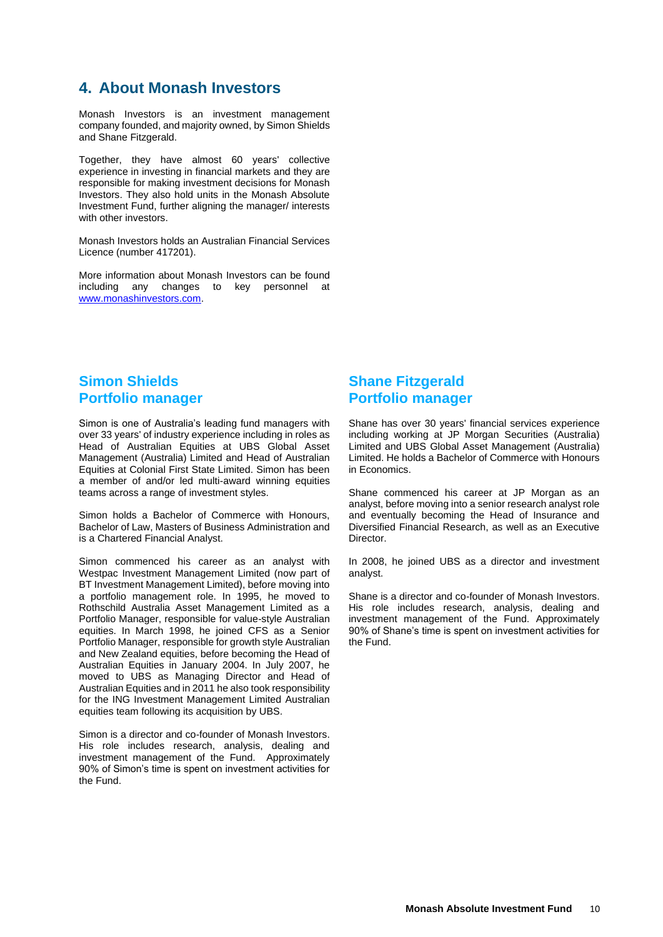# <span id="page-9-0"></span>**4. About Monash Investors**

Monash Investors is an investment management company founded, and majority owned, by Simon Shields and Shane Fitzgerald.

Together, they have almost 60 years' collective experience in investing in financial markets and they are responsible for making investment decisions for Monash Investors. They also hold units in the Monash Absolute Investment Fund, further aligning the manager/ interests with other investors.

Monash Investors holds an Australian Financial Services Licence (number 417201).

More information about Monash Investors can be found including any changes to key personnel at [www.monashinvestors.com.](http://www.monashinvestors.com/)

# **Simon Shields Portfolio manager**

Simon is one of Australia's leading fund managers with over 33 years' of industry experience including in roles as Head of Australian Equities at UBS Global Asset Management (Australia) Limited and Head of Australian Equities at Colonial First State Limited. Simon has been a member of and/or led multi-award winning equities teams across a range of investment styles.

Simon holds a Bachelor of Commerce with Honours, Bachelor of Law, Masters of Business Administration and is a Chartered Financial Analyst.

Simon commenced his career as an analyst with Westpac Investment Management Limited (now part of BT Investment Management Limited), before moving into a portfolio management role. In 1995, he moved to Rothschild Australia Asset Management Limited as a Portfolio Manager, responsible for value-style Australian equities. In March 1998, he joined CFS as a Senior Portfolio Manager, responsible for growth style Australian and New Zealand equities, before becoming the Head of Australian Equities in January 2004. In July 2007, he moved to UBS as Managing Director and Head of Australian Equities and in 2011 he also took responsibility for the ING Investment Management Limited Australian equities team following its acquisition by UBS.

Simon is a director and co-founder of Monash Investors. His role includes research, analysis, dealing and investment management of the Fund. Approximately 90% of Simon's time is spent on investment activities for the Fund.

# **Shane Fitzgerald Portfolio manager**

Shane has over 30 years' financial services experience including working at JP Morgan Securities (Australia) Limited and UBS Global Asset Management (Australia) Limited. He holds a Bachelor of Commerce with Honours in Economics.

Shane commenced his career at JP Morgan as an analyst, before moving into a senior research analyst role and eventually becoming the Head of Insurance and Diversified Financial Research, as well as an Executive Director.

In 2008, he joined UBS as a director and investment analyst.

Shane is a director and co-founder of Monash Investors. His role includes research, analysis, dealing and investment management of the Fund. Approximately 90% of Shane's time is spent on investment activities for the Fund.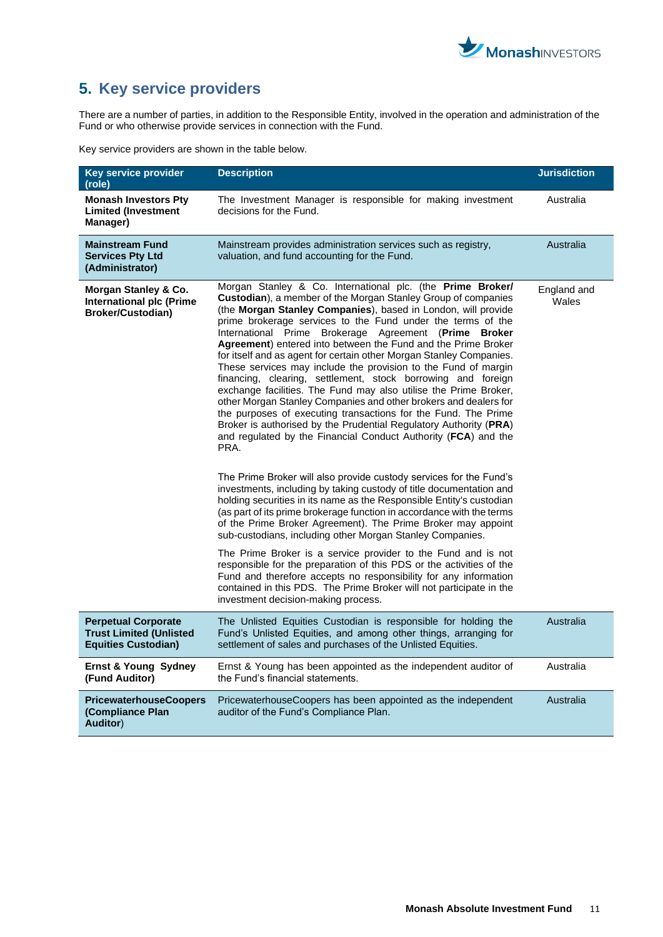

# <span id="page-10-0"></span>**5. Key service providers**

There are a number of parties, in addition to the Responsible Entity, involved in the operation and administration of the Fund or who otherwise provide services in connection with the Fund.

Key service providers are shown in the table below.

| Key service provider<br>(role)                                                             | <b>Description</b>                                                                                                                                                                                                                                                                                                                                                                                                                                                                                                                                                                                                                                                                                                                                                                                                                                                                                                                                                                                                                                                                                                                                                                                                                                                                                                                                                                                                                                                                                                                                                                                                                                                                                            | <b>Jurisdiction</b>  |
|--------------------------------------------------------------------------------------------|---------------------------------------------------------------------------------------------------------------------------------------------------------------------------------------------------------------------------------------------------------------------------------------------------------------------------------------------------------------------------------------------------------------------------------------------------------------------------------------------------------------------------------------------------------------------------------------------------------------------------------------------------------------------------------------------------------------------------------------------------------------------------------------------------------------------------------------------------------------------------------------------------------------------------------------------------------------------------------------------------------------------------------------------------------------------------------------------------------------------------------------------------------------------------------------------------------------------------------------------------------------------------------------------------------------------------------------------------------------------------------------------------------------------------------------------------------------------------------------------------------------------------------------------------------------------------------------------------------------------------------------------------------------------------------------------------------------|----------------------|
| <b>Monash Investors Pty</b><br><b>Limited (Investment</b><br>Manager)                      | The Investment Manager is responsible for making investment<br>decisions for the Fund.                                                                                                                                                                                                                                                                                                                                                                                                                                                                                                                                                                                                                                                                                                                                                                                                                                                                                                                                                                                                                                                                                                                                                                                                                                                                                                                                                                                                                                                                                                                                                                                                                        | Australia            |
| <b>Mainstream Fund</b><br><b>Services Pty Ltd</b><br>(Administrator)                       | Mainstream provides administration services such as registry,<br>valuation, and fund accounting for the Fund.                                                                                                                                                                                                                                                                                                                                                                                                                                                                                                                                                                                                                                                                                                                                                                                                                                                                                                                                                                                                                                                                                                                                                                                                                                                                                                                                                                                                                                                                                                                                                                                                 | Australia            |
| Morgan Stanley & Co.<br>International plc (Prime<br><b>Broker/Custodian)</b>               | Morgan Stanley & Co. International plc. (the Prime Broker/<br>Custodian), a member of the Morgan Stanley Group of companies<br>(the Morgan Stanley Companies), based in London, will provide<br>prime brokerage services to the Fund under the terms of the<br>International Prime Brokerage Agreement (Prime Broker<br>Agreement) entered into between the Fund and the Prime Broker<br>for itself and as agent for certain other Morgan Stanley Companies.<br>These services may include the provision to the Fund of margin<br>financing, clearing, settlement, stock borrowing and foreign<br>exchange facilities. The Fund may also utilise the Prime Broker,<br>other Morgan Stanley Companies and other brokers and dealers for<br>the purposes of executing transactions for the Fund. The Prime<br>Broker is authorised by the Prudential Regulatory Authority (PRA)<br>and regulated by the Financial Conduct Authority (FCA) and the<br>PRA.<br>The Prime Broker will also provide custody services for the Fund's<br>investments, including by taking custody of title documentation and<br>holding securities in its name as the Responsible Entity's custodian<br>(as part of its prime brokerage function in accordance with the terms<br>of the Prime Broker Agreement). The Prime Broker may appoint<br>sub-custodians, including other Morgan Stanley Companies.<br>The Prime Broker is a service provider to the Fund and is not<br>responsible for the preparation of this PDS or the activities of the<br>Fund and therefore accepts no responsibility for any information<br>contained in this PDS. The Prime Broker will not participate in the<br>investment decision-making process. | England and<br>Wales |
| <b>Perpetual Corporate</b><br><b>Trust Limited (Unlisted</b><br><b>Equities Custodian)</b> | The Unlisted Equities Custodian is responsible for holding the<br>Fund's Unlisted Equities, and among other things, arranging for<br>settlement of sales and purchases of the Unlisted Equities.                                                                                                                                                                                                                                                                                                                                                                                                                                                                                                                                                                                                                                                                                                                                                                                                                                                                                                                                                                                                                                                                                                                                                                                                                                                                                                                                                                                                                                                                                                              | Australia            |
| <b>Ernst &amp; Young Sydney</b><br>(Fund Auditor)                                          | Ernst & Young has been appointed as the independent auditor of<br>the Fund's financial statements.                                                                                                                                                                                                                                                                                                                                                                                                                                                                                                                                                                                                                                                                                                                                                                                                                                                                                                                                                                                                                                                                                                                                                                                                                                                                                                                                                                                                                                                                                                                                                                                                            | Australia            |
| <b>PricewaterhouseCoopers</b><br>(Compliance Plan<br><b>Auditor)</b>                       | PricewaterhouseCoopers has been appointed as the independent<br>auditor of the Fund's Compliance Plan.                                                                                                                                                                                                                                                                                                                                                                                                                                                                                                                                                                                                                                                                                                                                                                                                                                                                                                                                                                                                                                                                                                                                                                                                                                                                                                                                                                                                                                                                                                                                                                                                        | Australia            |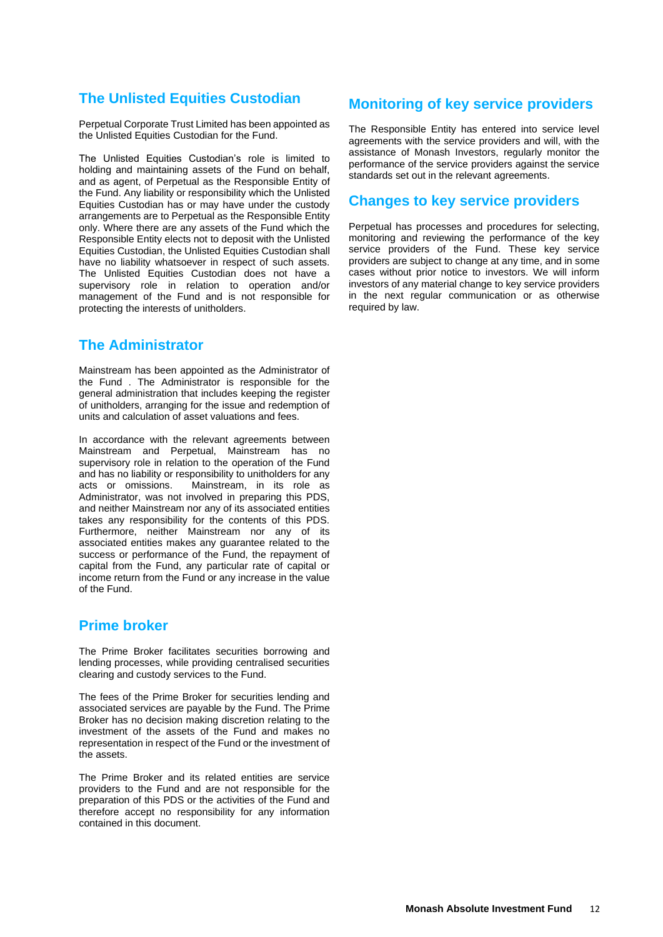# **The Unlisted Equities Custodian**

Perpetual Corporate Trust Limited has been appointed as the Unlisted Equities Custodian for the Fund.

The Unlisted Equities Custodian's role is limited to holding and maintaining assets of the Fund on behalf, and as agent, of Perpetual as the Responsible Entity of the Fund. Any liability or responsibility which the Unlisted Equities Custodian has or may have under the custody arrangements are to Perpetual as the Responsible Entity only. Where there are any assets of the Fund which the Responsible Entity elects not to deposit with the Unlisted Equities Custodian, the Unlisted Equities Custodian shall have no liability whatsoever in respect of such assets. The Unlisted Equities Custodian does not have a supervisory role in relation to operation and/or management of the Fund and is not responsible for protecting the interests of unitholders.

# **The Administrator**

Mainstream has been appointed as the Administrator of the Fund . The Administrator is responsible for the general administration that includes keeping the register of unitholders, arranging for the issue and redemption of units and calculation of asset valuations and fees.

In accordance with the relevant agreements between Mainstream and Perpetual, Mainstream has no supervisory role in relation to the operation of the Fund and has no liability or responsibility to unitholders for any acts or omissions. Mainstream, in its role as Administrator, was not involved in preparing this PDS, and neither Mainstream nor any of its associated entities takes any responsibility for the contents of this PDS. Furthermore, neither Mainstream nor any of its associated entities makes any guarantee related to the success or performance of the Fund, the repayment of capital from the Fund, any particular rate of capital or income return from the Fund or any increase in the value of the Fund.

### **Prime broker**

The Prime Broker facilitates securities borrowing and lending processes, while providing centralised securities clearing and custody services to the Fund.

The fees of the Prime Broker for securities lending and associated services are payable by the Fund. The Prime Broker has no decision making discretion relating to the investment of the assets of the Fund and makes no representation in respect of the Fund or the investment of the assets.

The Prime Broker and its related entities are service providers to the Fund and are not responsible for the preparation of this PDS or the activities of the Fund and therefore accept no responsibility for any information contained in this document.

# **Monitoring of key service providers**

The Responsible Entity has entered into service level agreements with the service providers and will, with the assistance of Monash Investors, regularly monitor the performance of the service providers against the service standards set out in the relevant agreements.

### **Changes to key service providers**

Perpetual has processes and procedures for selecting, monitoring and reviewing the performance of the key service providers of the Fund. These key service providers are subject to change at any time, and in some cases without prior notice to investors. We will inform investors of any material change to key service providers in the next regular communication or as otherwise required by law.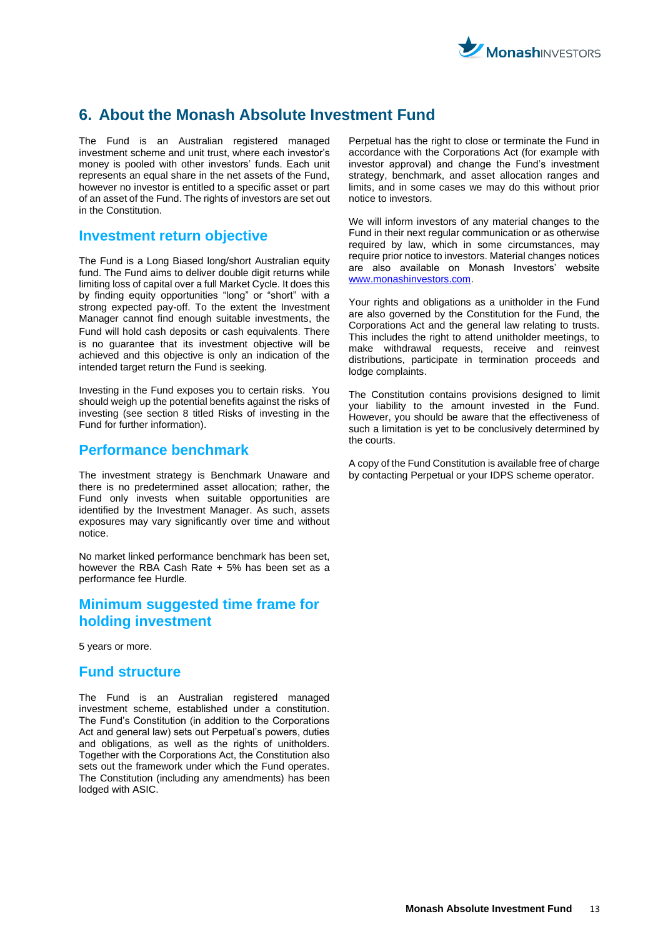

# <span id="page-12-0"></span>**6. About the Monash Absolute Investment Fund**

The Fund is an Australian registered managed investment scheme and unit trust, where each investor's money is pooled with other investors' funds. Each unit represents an equal share in the net assets of the Fund, however no investor is entitled to a specific asset or part of an asset of the Fund. The rights of investors are set out in the Constitution.

### **Investment return objective**

The Fund is a Long Biased long/short Australian equity fund. The Fund aims to deliver double digit returns while limiting loss of capital over a full Market Cycle. It does this by finding equity opportunities "long" or "short" with a strong expected pay-off. To the extent the Investment Manager cannot find enough suitable investments, the Fund will hold cash deposits or cash equivalents. There is no guarantee that its investment objective will be achieved and this objective is only an indication of the intended target return the Fund is seeking.

Investing in the Fund exposes you to certain risks. You should weigh up the potential benefits against the risks of investing (see section 8 titled Risks of investing in the Fund for further information).

### **Performance benchmark**

The investment strategy is Benchmark Unaware and there is no predetermined asset allocation; rather, the Fund only invests when suitable opportunities are identified by the Investment Manager. As such, assets exposures may vary significantly over time and without notice.

No market linked performance benchmark has been set, however the RBA Cash Rate + 5% has been set as a performance fee Hurdle.

# **Minimum suggested time frame for holding investment**

5 years or more.

### **Fund structure**

The Fund is an Australian registered managed investment scheme, established under a constitution. The Fund's Constitution (in addition to the Corporations Act and general law) sets out Perpetual's powers, duties and obligations, as well as the rights of unitholders. Together with the Corporations Act, the Constitution also sets out the framework under which the Fund operates. The Constitution (including any amendments) has been lodged with ASIC.

Perpetual has the right to close or terminate the Fund in accordance with the Corporations Act (for example with investor approval) and change the Fund's investment strategy, benchmark, and asset allocation ranges and limits, and in some cases we may do this without prior notice to investors.

We will inform investors of any material changes to the Fund in their next regular communication or as otherwise required by law, which in some circumstances, may require prior notice to investors. Material changes notices are also available on Monash Investors' website www.monashinvestors.com

Your rights and obligations as a unitholder in the Fund are also governed by the Constitution for the Fund, the Corporations Act and the general law relating to trusts. This includes the right to attend unitholder meetings, to make withdrawal requests, receive and reinvest distributions, participate in termination proceeds and lodge complaints.

The Constitution contains provisions designed to limit your liability to the amount invested in the Fund. However, you should be aware that the effectiveness of such a limitation is yet to be conclusively determined by the courts.

A copy of the Fund Constitution is available free of charge by contacting Perpetual or your IDPS scheme operator.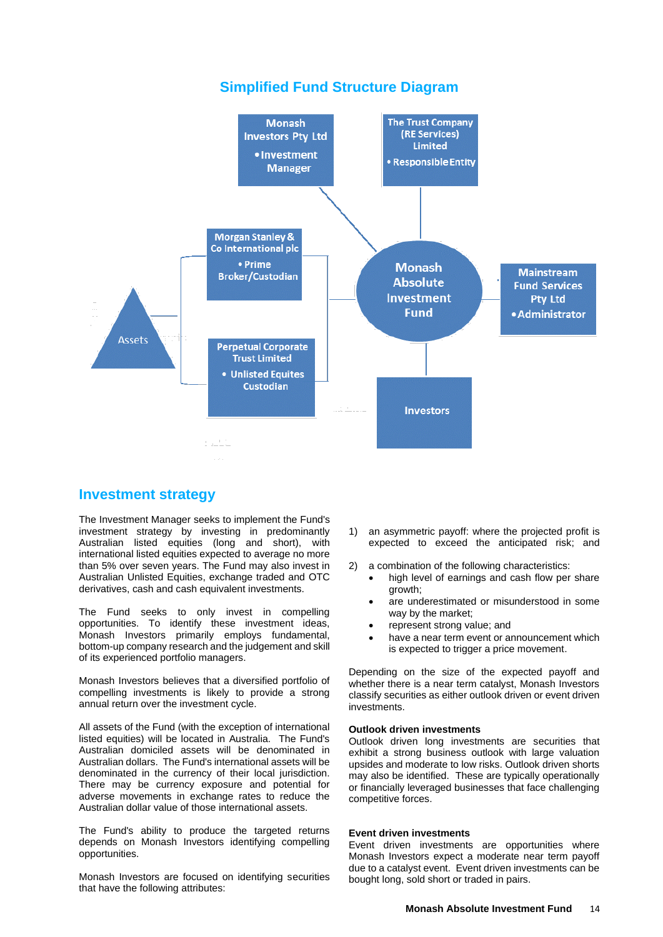# **Simplified Fund Structure Diagram**



### **Investment strategy**

The Investment Manager seeks to implement the Fund's investment strategy by investing in predominantly Australian listed equities (long and short), with international listed equities expected to average no more than 5% over seven years. The Fund may also invest in Australian Unlisted Equities, exchange traded and OTC derivatives, cash and cash equivalent investments.

The Fund seeks to only invest in compelling opportunities. To identify these investment ideas, Monash Investors primarily employs fundamental, bottom-up company research and the judgement and skill of its experienced portfolio managers.

Monash Investors believes that a diversified portfolio of compelling investments is likely to provide a strong annual return over the investment cycle.

All assets of the Fund (with the exception of international listed equities) will be located in Australia. The Fund's Australian domiciled assets will be denominated in Australian dollars. The Fund's international assets will be denominated in the currency of their local jurisdiction. There may be currency exposure and potential for adverse movements in exchange rates to reduce the Australian dollar value of those international assets.

The Fund's ability to produce the targeted returns depends on Monash Investors identifying compelling opportunities.

Monash Investors are focused on identifying securities that have the following attributes:

- 1) an asymmetric payoff: where the projected profit is expected to exceed the anticipated risk; and
- 2) a combination of the following characteristics:
	- high level of earnings and cash flow per share growth;
	- are underestimated or misunderstood in some way by the market;
	- represent strong value; and
	- have a near term event or announcement which is expected to trigger a price movement.

Depending on the size of the expected payoff and whether there is a near term catalyst, Monash Investors classify securities as either outlook driven or event driven investments.

#### **Outlook driven investments**

Outlook driven long investments are securities that exhibit a strong business outlook with large valuation upsides and moderate to low risks. Outlook driven shorts may also be identified. These are typically operationally or financially leveraged businesses that face challenging competitive forces.

#### **Event driven investments**

Event driven investments are opportunities where Monash Investors expect a moderate near term payoff due to a catalyst event. Event driven investments can be bought long, sold short or traded in pairs.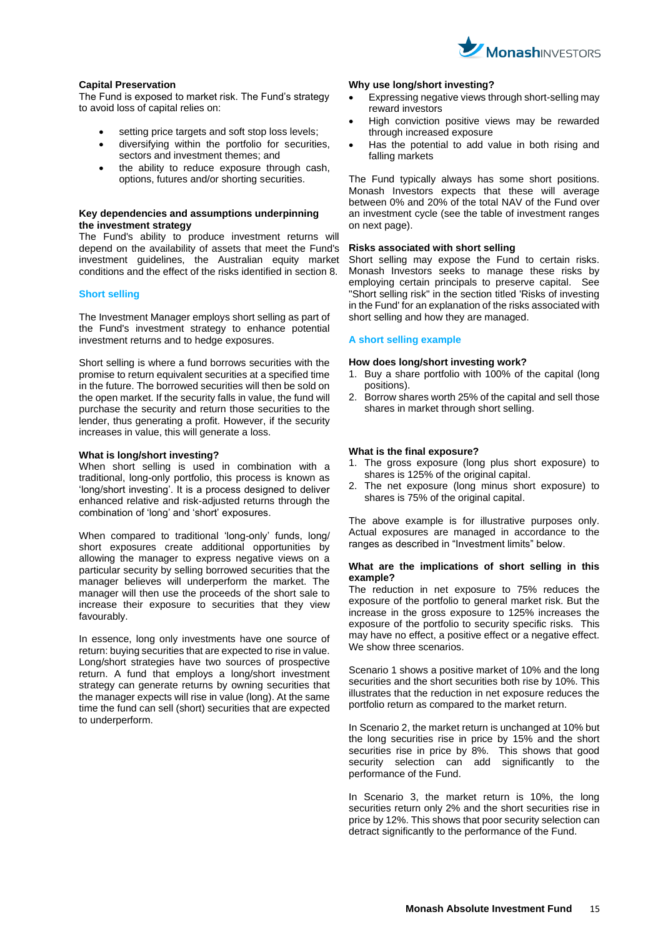

#### **Capital Preservation**

The Fund is exposed to market risk. The Fund's strategy to avoid loss of capital relies on:

- setting price targets and soft stop loss levels;
- diversifying within the portfolio for securities, sectors and investment themes; and
- the ability to reduce exposure through cash, options, futures and/or shorting securities.

#### **Key dependencies and assumptions underpinning the investment strategy**

The Fund's ability to produce investment returns will depend on the availability of assets that meet the Fund's investment guidelines, the Australian equity market conditions and the effect of the risks identified in section 8.

#### **Short selling**

The Investment Manager employs short selling as part of the Fund's investment strategy to enhance potential investment returns and to hedge exposures.

Short selling is where a fund borrows securities with the promise to return equivalent securities at a specified time in the future. The borrowed securities will then be sold on the open market. If the security falls in value, the fund will purchase the security and return those securities to the lender, thus generating a profit. However, if the security increases in value, this will generate a loss.

#### **What is long/short investing?**

When short selling is used in combination with a traditional, long-only portfolio, this process is known as 'long/short investing'. It is a process designed to deliver enhanced relative and risk-adjusted returns through the combination of 'long' and 'short' exposures.

When compared to traditional 'long-only' funds, long/ short exposures create additional opportunities by allowing the manager to express negative views on a particular security by selling borrowed securities that the manager believes will underperform the market. The manager will then use the proceeds of the short sale to increase their exposure to securities that they view favourably.

In essence, long only investments have one source of return: buying securities that are expected to rise in value. Long/short strategies have two sources of prospective return. A fund that employs a long/short investment strategy can generate returns by owning securities that the manager expects will rise in value (long). At the same time the fund can sell (short) securities that are expected to underperform.

#### **Why use long/short investing?**

- Expressing negative views through short-selling may reward investors
- High conviction positive views may be rewarded through increased exposure
- Has the potential to add value in both rising and falling markets

The Fund typically always has some short positions. Monash Investors expects that these will average between 0% and 20% of the total NAV of the Fund over an investment cycle (see the table of investment ranges on next page).

#### **Risks associated with short selling**

Short selling may expose the Fund to certain risks. Monash Investors seeks to manage these risks by employing certain principals to preserve capital. See "Short selling risk" in the section titled 'Risks of investing in the Fund' for an explanation of the risks associated with short selling and how they are managed.

#### **A short selling example**

#### **How does long/short investing work?**

- 1. Buy a share portfolio with 100% of the capital (long positions).
- 2. Borrow shares worth 25% of the capital and sell those shares in market through short selling.

#### **What is the final exposure?**

- 1. The gross exposure (long plus short exposure) to shares is 125% of the original capital.
- 2. The net exposure (long minus short exposure) to shares is 75% of the original capital.

The above example is for illustrative purposes only. Actual exposures are managed in accordance to the ranges as described in "Investment limits" below.

#### **What are the implications of short selling in this example?**

The reduction in net exposure to 75% reduces the exposure of the portfolio to general market risk. But the increase in the gross exposure to 125% increases the exposure of the portfolio to security specific risks. This may have no effect, a positive effect or a negative effect. We show three scenarios.

Scenario 1 shows a positive market of 10% and the long securities and the short securities both rise by 10%. This illustrates that the reduction in net exposure reduces the portfolio return as compared to the market return.

In Scenario 2, the market return is unchanged at 10% but the long securities rise in price by 15% and the short securities rise in price by 8%. This shows that good security selection can add significantly to the performance of the Fund.

In Scenario 3, the market return is 10%, the long securities return only 2% and the short securities rise in price by 12%. This shows that poor security selection can detract significantly to the performance of the Fund.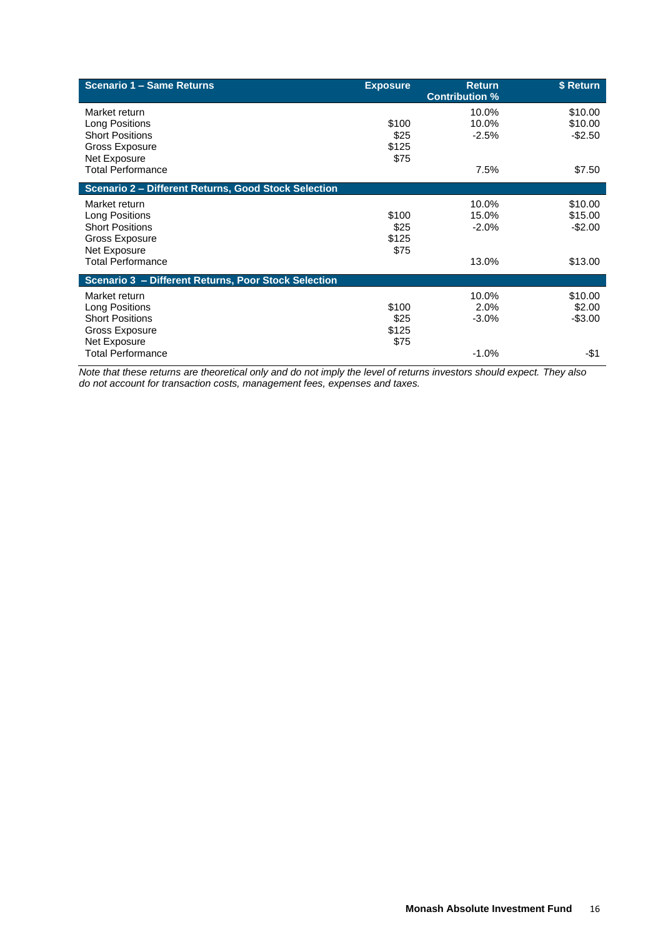| Scenario 1 - Same Returns                                                                                               | <b>Exposure</b>                | <b>Return</b><br><b>Contribution %</b> | \$ Return                                 |
|-------------------------------------------------------------------------------------------------------------------------|--------------------------------|----------------------------------------|-------------------------------------------|
| Market return<br>Long Positions<br><b>Short Positions</b><br>Gross Exposure<br>Net Exposure                             | \$100<br>\$25<br>\$125<br>\$75 | 10.0%<br>10.0%<br>$-2.5%$              | \$10.00<br>\$10.00<br>$-$2.50$            |
| <b>Total Performance</b>                                                                                                |                                | 7.5%                                   | \$7.50                                    |
| Scenario 2 - Different Returns, Good Stock Selection                                                                    |                                |                                        |                                           |
| Market return<br>Long Positions<br><b>Short Positions</b><br>Gross Exposure<br>Net Exposure<br><b>Total Performance</b> | \$100<br>\$25<br>\$125<br>\$75 | 10.0%<br>15.0%<br>$-2.0%$<br>13.0%     | \$10.00<br>\$15.00<br>$-$2.00$<br>\$13.00 |
| Scenario 3 - Different Returns, Poor Stock Selection                                                                    |                                |                                        |                                           |
| Market return<br>Long Positions<br><b>Short Positions</b><br>Gross Exposure<br>Net Exposure                             | \$100<br>\$25<br>\$125<br>\$75 | 10.0%<br>2.0%<br>$-3.0%$               | \$10.00<br>\$2.00<br>$-$3.00$             |
| <b>Total Performance</b>                                                                                                |                                | $-1.0%$                                | -\$1                                      |

*Note that these returns are theoretical only and do not imply the level of returns investors should expect. They also do not account for transaction costs, management fees, expenses and taxes.*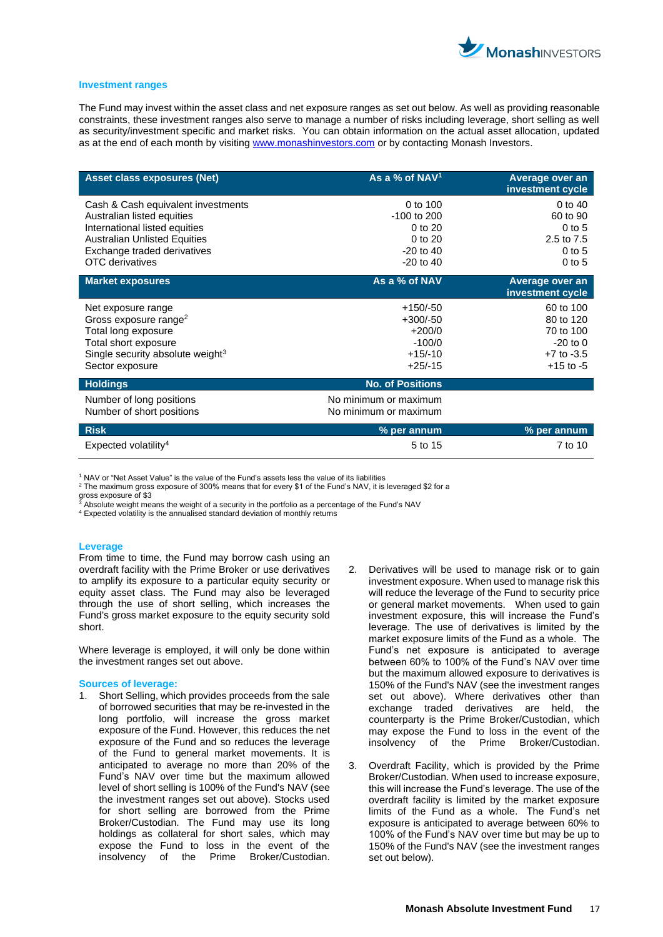

#### **Investment ranges**

The Fund may invest within the asset class and net exposure ranges as set out below. As well as providing reasonable constraints, these investment ranges also serve to manage a number of risks including leverage, short selling as well as security/investment specific and market risks. You can obtain information on the actual asset allocation, updated as at the end of each month by visiting [www.monashinvestors.com](http://www.monashinvestors.com/) or by contacting Monash Investors.

| <b>Asset class exposures (Net)</b>                    | As a % of NAV <sup>1</sup>                     | Average over an<br>investment cycle |
|-------------------------------------------------------|------------------------------------------------|-------------------------------------|
| Cash & Cash equivalent investments                    | 0 to 100                                       | 0 to $40$                           |
| Australian listed equities                            | -100 to 200                                    | 60 to 90                            |
| International listed equities                         | 0 to 20                                        | $0$ to 5                            |
| <b>Australian Unlisted Equities</b>                   | 0 to 20                                        | 2.5 to 7.5                          |
| Exchange traded derivatives                           | $-20$ to $40$                                  | $0$ to 5                            |
| <b>OTC</b> derivatives                                | $-20$ to $40$                                  | $0$ to 5                            |
| <b>Market exposures</b>                               | As a % of NAV                                  | Average over an<br>investment cycle |
| Net exposure range                                    | $+150/-50$                                     | 60 to 100                           |
| Gross exposure range <sup>2</sup>                     | $+300/-50$                                     | 80 to 120                           |
| Total long exposure                                   | $+200/0$                                       | 70 to 100                           |
| Total short exposure                                  | $-100/0$                                       | $-20$ to $0$                        |
| Single security absolute weight $3$                   | $+15/10$                                       | $+7$ to $-3.5$                      |
| Sector exposure                                       | $+25/ -15$                                     | $+15$ to $-5$                       |
| <b>Holdings</b>                                       | <b>No. of Positions</b>                        |                                     |
| Number of long positions<br>Number of short positions | No minimum or maximum<br>No minimum or maximum |                                     |
| <b>Risk</b>                                           | % per annum                                    | % per annum                         |
| Expected volatility <sup>4</sup>                      | 5 to 15                                        | 7 to 10                             |

<sup>1</sup> NAV or "Net Asset Value" is the value of the Fund's assets less the value of its liabilities

<sup>2</sup> The maximum gross exposure of 300% means that for every \$1 of the Fund's NAV, it is leveraged \$2 for a gross exposure of \$3

 $^{\bar{3}}$  Absolute weight means the weight of a security in the portfolio as a percentage of the Fund's NAV

<sup>4</sup> Expected volatility is the annualised standard deviation of monthly returns

#### **Leverage**

From time to time, the Fund may borrow cash using an overdraft facility with the Prime Broker or use derivatives to amplify its exposure to a particular equity security or equity asset class. The Fund may also be leveraged through the use of short selling, which increases the Fund's gross market exposure to the equity security sold short.

Where leverage is employed, it will only be done within the investment ranges set out above.

#### **Sources of leverage:**

- 1. Short Selling, which provides proceeds from the sale of borrowed securities that may be re-invested in the long portfolio, will increase the gross market exposure of the Fund. However, this reduces the net exposure of the Fund and so reduces the leverage of the Fund to general market movements. It is anticipated to average no more than 20% of the Fund's NAV over time but the maximum allowed level of short selling is 100% of the Fund's NAV (see the investment ranges set out above). Stocks used for short selling are borrowed from the Prime Broker/Custodian. The Fund may use its long holdings as collateral for short sales, which may expose the Fund to loss in the event of the insolvency of the Prime Broker/Custodian.
- 2. Derivatives will be used to manage risk or to gain investment exposure. When used to manage risk this will reduce the leverage of the Fund to security price or general market movements. When used to gain investment exposure, this will increase the Fund's leverage. The use of derivatives is limited by the market exposure limits of the Fund as a whole. The Fund's net exposure is anticipated to average between 60% to 100% of the Fund's NAV over time but the maximum allowed exposure to derivatives is 150% of the Fund's NAV (see the investment ranges set out above). Where derivatives other than exchange traded derivatives are held, the counterparty is the Prime Broker/Custodian, which may expose the Fund to loss in the event of the insolvency of the Prime Broker/Custodian.
- 3. Overdraft Facility, which is provided by the Prime Broker/Custodian. When used to increase exposure, this will increase the Fund's leverage. The use of the overdraft facility is limited by the market exposure limits of the Fund as a whole. The Fund's net exposure is anticipated to average between 60% to 100% of the Fund's NAV over time but may be up to 150% of the Fund's NAV (see the investment ranges set out below).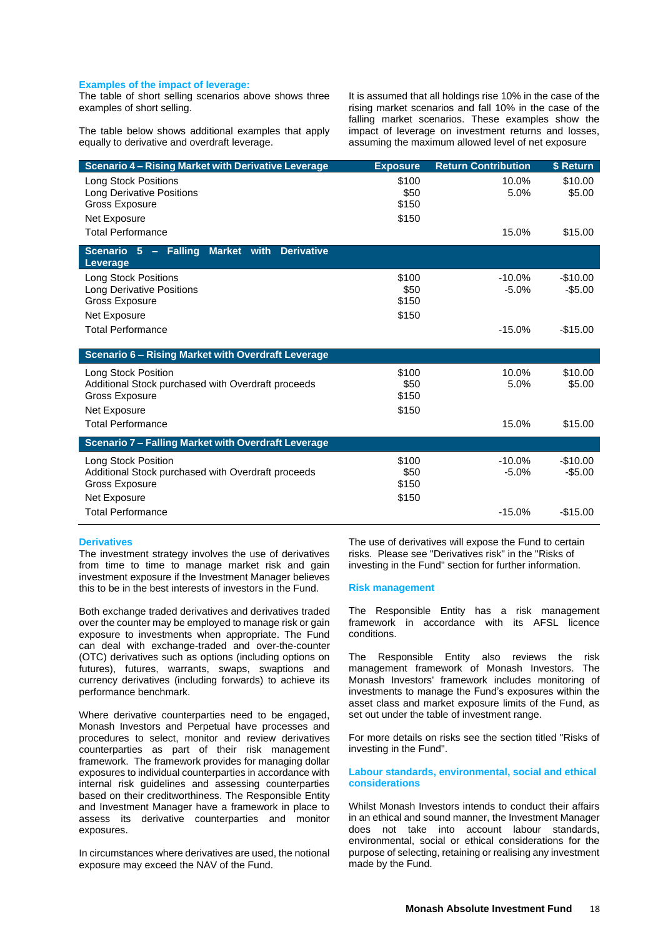#### **Examples of the impact of leverage:**

The table of short selling scenarios above shows three examples of short selling.

The table below shows additional examples that apply equally to derivative and overdraft leverage.

It is assumed that all holdings rise 10% in the case of the rising market scenarios and fall 10% in the case of the falling market scenarios. These examples show the impact of leverage on investment returns and losses, assuming the maximum allowed level of net exposure

| <b>Scenario 4 - Rising Market with Derivative Leverage</b>                  | <b>Exposure</b> | <b>Return Contribution</b> | \$ Return             |
|-----------------------------------------------------------------------------|-----------------|----------------------------|-----------------------|
| <b>Long Stock Positions</b>                                                 | \$100           | 10.0%                      | \$10.00               |
| <b>Long Derivative Positions</b><br><b>Gross Exposure</b>                   | \$50<br>\$150   | 5.0%                       | \$5.00                |
| Net Exposure                                                                | \$150           |                            |                       |
| <b>Total Performance</b>                                                    |                 | 15.0%                      | \$15.00               |
| Scenario 5 - Falling<br><b>Derivative</b><br>Market with<br>Leverage        |                 |                            |                       |
| <b>Long Stock Positions</b>                                                 | \$100           | $-10.0%$                   | $-$10.00$             |
| <b>Long Derivative Positions</b>                                            | \$50<br>\$150   | $-5.0%$                    | $-$5.00$              |
| <b>Gross Exposure</b><br>Net Exposure                                       | \$150           |                            |                       |
| <b>Total Performance</b>                                                    |                 | $-15.0%$                   | $-$15.00$             |
|                                                                             |                 |                            |                       |
| <b>Scenario 6 - Rising Market with Overdraft Leverage</b>                   |                 |                            |                       |
| Long Stock Position                                                         | \$100           | 10.0%                      | \$10.00               |
| Additional Stock purchased with Overdraft proceeds                          | \$50            | 5.0%                       | \$5.00                |
| Gross Exposure<br>Net Exposure                                              | \$150<br>\$150  |                            |                       |
| <b>Total Performance</b>                                                    |                 | 15.0%                      | \$15.00               |
|                                                                             |                 |                            |                       |
| <b>Scenario 7 - Falling Market with Overdraft Leverage</b>                  |                 |                            |                       |
| Long Stock Position                                                         | \$100<br>\$50   | $-10.0%$<br>$-5.0%$        | $-$10.00$<br>$-$5.00$ |
| Additional Stock purchased with Overdraft proceeds<br><b>Gross Exposure</b> | \$150           |                            |                       |
| Net Exposure                                                                | \$150           |                            |                       |
| <b>Total Performance</b>                                                    |                 | $-15.0%$                   | $-$15.00$             |

#### **Derivatives**

The investment strategy involves the use of derivatives from time to time to manage market risk and gain investment exposure if the Investment Manager believes this to be in the best interests of investors in the Fund.

Both exchange traded derivatives and derivatives traded over the counter may be employed to manage risk or gain exposure to investments when appropriate. The Fund can deal with exchange-traded and over-the-counter (OTC) derivatives such as options (including options on futures), futures, warrants, swaps, swaptions and currency derivatives (including forwards) to achieve its performance benchmark.

Where derivative counterparties need to be engaged, Monash Investors and Perpetual have processes and procedures to select, monitor and review derivatives counterparties as part of their risk management framework. The framework provides for managing dollar exposures to individual counterparties in accordance with internal risk guidelines and assessing counterparties based on their creditworthiness. The Responsible Entity and Investment Manager have a framework in place to assess its derivative counterparties and monitor exposures.

In circumstances where derivatives are used, the notional exposure may exceed the NAV of the Fund.

The use of derivatives will expose the Fund to certain risks. Please see "Derivatives risk" in the "Risks of investing in the Fund" section for further information.

#### **Risk management**

The Responsible Entity has a risk management framework in accordance with its AFSL licence conditions.

The Responsible Entity also reviews the risk management framework of Monash Investors. The Monash Investors' framework includes monitoring of investments to manage the Fund's exposures within the asset class and market exposure limits of the Fund, as set out under the table of investment range.

For more details on risks see the section titled "Risks of investing in the Fund".

#### **Labour standards, environmental, social and ethical considerations**

Whilst Monash Investors intends to conduct their affairs in an ethical and sound manner, the Investment Manager does not take into account labour standards, environmental, social or ethical considerations for the purpose of selecting, retaining or realising any investment made by the Fund.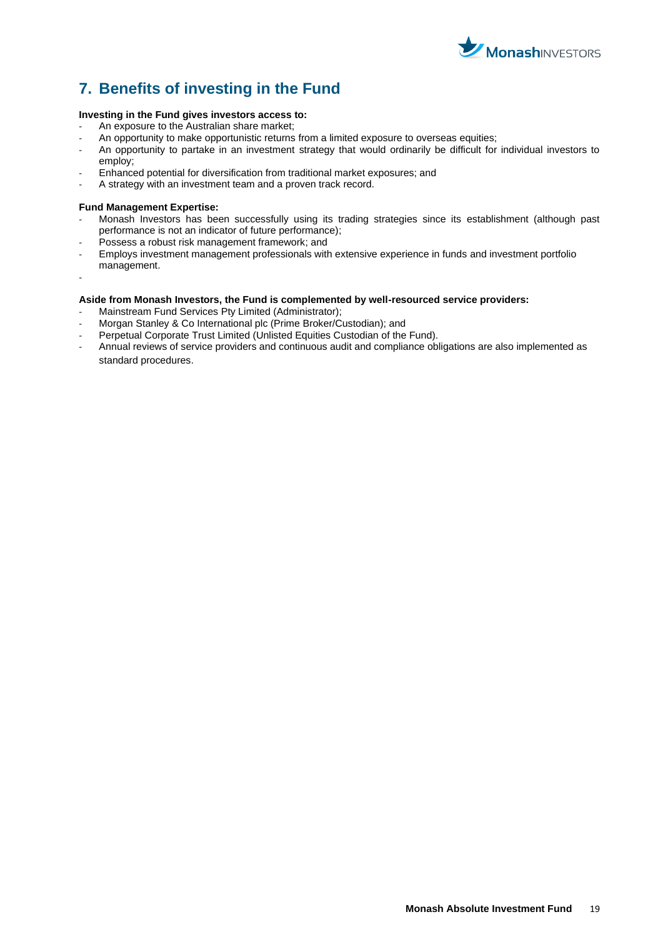

# <span id="page-18-0"></span>**7. Benefits of investing in the Fund**

#### **Investing in the Fund gives investors access to:**

- An exposure to the Australian share market;
- An opportunity to make opportunistic returns from a limited exposure to overseas equities;
- An opportunity to partake in an investment strategy that would ordinarily be difficult for individual investors to employ;
- Enhanced potential for diversification from traditional market exposures; and
- A strategy with an investment team and a proven track record.

#### **Fund Management Expertise:**

- Monash Investors has been successfully using its trading strategies since its establishment (although past performance is not an indicator of future performance);
- Possess a robust risk management framework; and
- Employs investment management professionals with extensive experience in funds and investment portfolio management.
- -

#### **Aside from Monash Investors, the Fund is complemented by well-resourced service providers:**

- Mainstream Fund Services Pty Limited (Administrator);
- Morgan Stanley & Co International plc (Prime Broker/Custodian); and
- Perpetual Corporate Trust Limited (Unlisted Equities Custodian of the Fund).
- Annual reviews of service providers and continuous audit and compliance obligations are also implemented as standard procedures.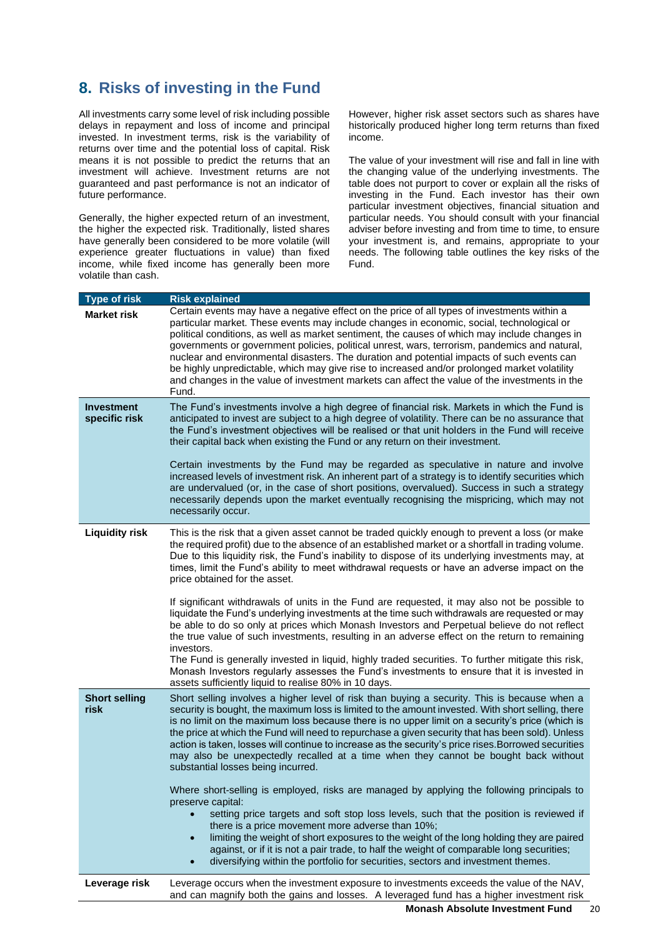# <span id="page-19-0"></span>**8. Risks of investing in the Fund**

All investments carry some level of risk including possible delays in repayment and loss of income and principal invested. In investment terms, risk is the variability of returns over time and the potential loss of capital. Risk means it is not possible to predict the returns that an investment will achieve. Investment returns are not guaranteed and past performance is not an indicator of future performance.

Generally, the higher expected return of an investment, the higher the expected risk. Traditionally, listed shares have generally been considered to be more volatile (will experience greater fluctuations in value) than fixed income, while fixed income has generally been more volatile than cash.

However, higher risk asset sectors such as shares have historically produced higher long term returns than fixed income.

The value of your investment will rise and fall in line with the changing value of the underlying investments. The table does not purport to cover or explain all the risks of investing in the Fund. Each investor has their own particular investment objectives, financial situation and particular needs. You should consult with your financial adviser before investing and from time to time, to ensure your investment is, and remains, appropriate to your needs. The following table outlines the key risks of the Fund.

| <b>Type of risk</b>                | <b>Risk explained</b>                                                                                                                                                                                                                                                                                                                                                                                                                                                                                                                                                                                                                                                                                                                                                                                                                                                                                                                                                                                                                                                                                                                                                                                                |
|------------------------------------|----------------------------------------------------------------------------------------------------------------------------------------------------------------------------------------------------------------------------------------------------------------------------------------------------------------------------------------------------------------------------------------------------------------------------------------------------------------------------------------------------------------------------------------------------------------------------------------------------------------------------------------------------------------------------------------------------------------------------------------------------------------------------------------------------------------------------------------------------------------------------------------------------------------------------------------------------------------------------------------------------------------------------------------------------------------------------------------------------------------------------------------------------------------------------------------------------------------------|
| <b>Market risk</b>                 | Certain events may have a negative effect on the price of all types of investments within a<br>particular market. These events may include changes in economic, social, technological or<br>political conditions, as well as market sentiment, the causes of which may include changes in<br>governments or government policies, political unrest, wars, terrorism, pandemics and natural,<br>nuclear and environmental disasters. The duration and potential impacts of such events can<br>be highly unpredictable, which may give rise to increased and/or prolonged market volatility<br>and changes in the value of investment markets can affect the value of the investments in the<br>Fund.                                                                                                                                                                                                                                                                                                                                                                                                                                                                                                                   |
| <b>Investment</b><br>specific risk | The Fund's investments involve a high degree of financial risk. Markets in which the Fund is<br>anticipated to invest are subject to a high degree of volatility. There can be no assurance that<br>the Fund's investment objectives will be realised or that unit holders in the Fund will receive<br>their capital back when existing the Fund or any return on their investment.<br>Certain investments by the Fund may be regarded as speculative in nature and involve<br>increased levels of investment risk. An inherent part of a strategy is to identify securities which<br>are undervalued (or, in the case of short positions, overvalued). Success in such a strategy<br>necessarily depends upon the market eventually recognising the mispricing, which may not<br>necessarily occur.                                                                                                                                                                                                                                                                                                                                                                                                                 |
| <b>Liquidity risk</b>              | This is the risk that a given asset cannot be traded quickly enough to prevent a loss (or make<br>the required profit) due to the absence of an established market or a shortfall in trading volume.<br>Due to this liquidity risk, the Fund's inability to dispose of its underlying investments may, at<br>times, limit the Fund's ability to meet withdrawal requests or have an adverse impact on the<br>price obtained for the asset.<br>If significant withdrawals of units in the Fund are requested, it may also not be possible to<br>liquidate the Fund's underlying investments at the time such withdrawals are requested or may<br>be able to do so only at prices which Monash Investors and Perpetual believe do not reflect<br>the true value of such investments, resulting in an adverse effect on the return to remaining<br>investors.<br>The Fund is generally invested in liquid, highly traded securities. To further mitigate this risk,<br>Monash Investors regularly assesses the Fund's investments to ensure that it is invested in<br>assets sufficiently liquid to realise 80% in 10 days.                                                                                             |
| <b>Short selling</b><br>risk       | Short selling involves a higher level of risk than buying a security. This is because when a<br>security is bought, the maximum loss is limited to the amount invested. With short selling, there<br>is no limit on the maximum loss because there is no upper limit on a security's price (which is<br>the price at which the Fund will need to repurchase a given security that has been sold). Unless<br>action is taken, losses will continue to increase as the security's price rises. Borrowed securities<br>may also be unexpectedly recalled at a time when they cannot be bought back without<br>substantial losses being incurred.<br>Where short-selling is employed, risks are managed by applying the following principals to<br>preserve capital:<br>setting price targets and soft stop loss levels, such that the position is reviewed if<br>there is a price movement more adverse than 10%;<br>limiting the weight of short exposures to the weight of the long holding they are paired<br>$\bullet$<br>against, or if it is not a pair trade, to half the weight of comparable long securities;<br>diversifying within the portfolio for securities, sectors and investment themes.<br>$\bullet$ |
| Leverage risk                      | Leverage occurs when the investment exposure to investments exceeds the value of the NAV,<br>and can magnify both the gains and losses. A leveraged fund has a higher investment risk                                                                                                                                                                                                                                                                                                                                                                                                                                                                                                                                                                                                                                                                                                                                                                                                                                                                                                                                                                                                                                |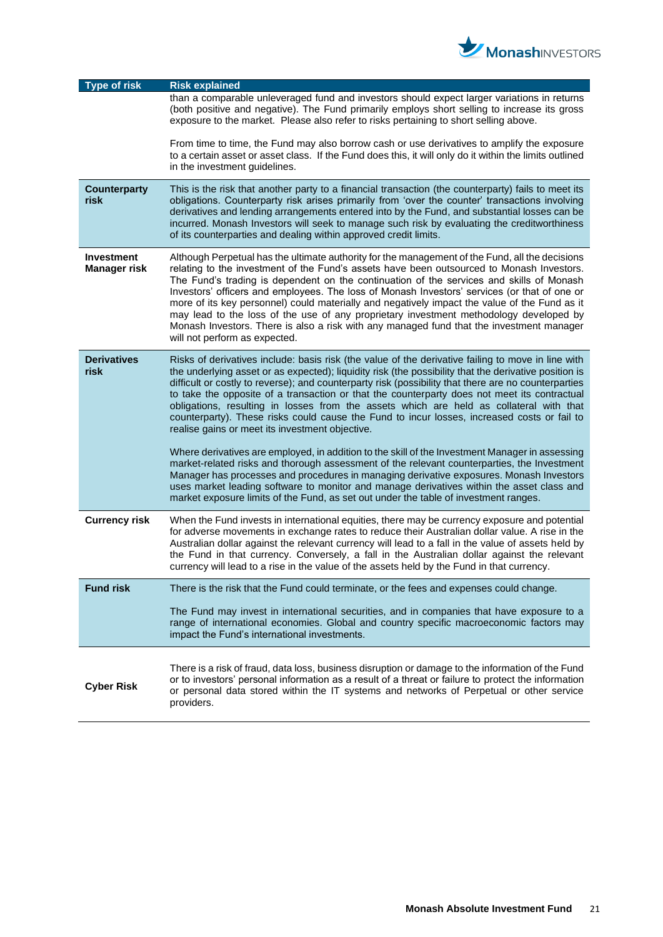

| <b>Type of risk</b>                      | <b>Risk explained</b>                                                                                                                                                                                                                                                                                                                                                                                                                                                                                                                                                                                                                                                                                            |
|------------------------------------------|------------------------------------------------------------------------------------------------------------------------------------------------------------------------------------------------------------------------------------------------------------------------------------------------------------------------------------------------------------------------------------------------------------------------------------------------------------------------------------------------------------------------------------------------------------------------------------------------------------------------------------------------------------------------------------------------------------------|
|                                          | than a comparable unleveraged fund and investors should expect larger variations in returns<br>(both positive and negative). The Fund primarily employs short selling to increase its gross<br>exposure to the market. Please also refer to risks pertaining to short selling above.                                                                                                                                                                                                                                                                                                                                                                                                                             |
|                                          | From time to time, the Fund may also borrow cash or use derivatives to amplify the exposure<br>to a certain asset or asset class. If the Fund does this, it will only do it within the limits outlined<br>in the investment guidelines.                                                                                                                                                                                                                                                                                                                                                                                                                                                                          |
| <b>Counterparty</b><br>risk              | This is the risk that another party to a financial transaction (the counterparty) fails to meet its<br>obligations. Counterparty risk arises primarily from 'over the counter' transactions involving<br>derivatives and lending arrangements entered into by the Fund, and substantial losses can be<br>incurred. Monash Investors will seek to manage such risk by evaluating the creditworthiness<br>of its counterparties and dealing within approved credit limits.                                                                                                                                                                                                                                         |
| <b>Investment</b><br><b>Manager risk</b> | Although Perpetual has the ultimate authority for the management of the Fund, all the decisions<br>relating to the investment of the Fund's assets have been outsourced to Monash Investors.<br>The Fund's trading is dependent on the continuation of the services and skills of Monash<br>Investors' officers and employees. The loss of Monash Investors' services (or that of one or<br>more of its key personnel) could materially and negatively impact the value of the Fund as it<br>may lead to the loss of the use of any proprietary investment methodology developed by<br>Monash Investors. There is also a risk with any managed fund that the investment manager<br>will not perform as expected. |
| <b>Derivatives</b><br>risk               | Risks of derivatives include: basis risk (the value of the derivative failing to move in line with<br>the underlying asset or as expected); liquidity risk (the possibility that the derivative position is<br>difficult or costly to reverse); and counterparty risk (possibility that there are no counterparties<br>to take the opposite of a transaction or that the counterparty does not meet its contractual<br>obligations, resulting in losses from the assets which are held as collateral with that<br>counterparty). These risks could cause the Fund to incur losses, increased costs or fail to<br>realise gains or meet its investment objective.                                                 |
|                                          | Where derivatives are employed, in addition to the skill of the Investment Manager in assessing<br>market-related risks and thorough assessment of the relevant counterparties, the Investment<br>Manager has processes and procedures in managing derivative exposures. Monash Investors<br>uses market leading software to monitor and manage derivatives within the asset class and<br>market exposure limits of the Fund, as set out under the table of investment ranges.                                                                                                                                                                                                                                   |
| <b>Currency risk</b>                     | When the Fund invests in international equities, there may be currency exposure and potential<br>for adverse movements in exchange rates to reduce their Australian dollar value. A rise in the<br>Australian dollar against the relevant currency will lead to a fall in the value of assets held by<br>the Fund in that currency. Conversely, a fall in the Australian dollar against the relevant<br>currency will lead to a rise in the value of the assets held by the Fund in that currency.                                                                                                                                                                                                               |
| <b>Fund risk</b>                         | There is the risk that the Fund could terminate, or the fees and expenses could change.                                                                                                                                                                                                                                                                                                                                                                                                                                                                                                                                                                                                                          |
|                                          | The Fund may invest in international securities, and in companies that have exposure to a<br>range of international economies. Global and country specific macroeconomic factors may<br>impact the Fund's international investments.                                                                                                                                                                                                                                                                                                                                                                                                                                                                             |
| <b>Cyber Risk</b>                        | There is a risk of fraud, data loss, business disruption or damage to the information of the Fund<br>or to investors' personal information as a result of a threat or failure to protect the information<br>or personal data stored within the IT systems and networks of Perpetual or other service<br>providers.                                                                                                                                                                                                                                                                                                                                                                                               |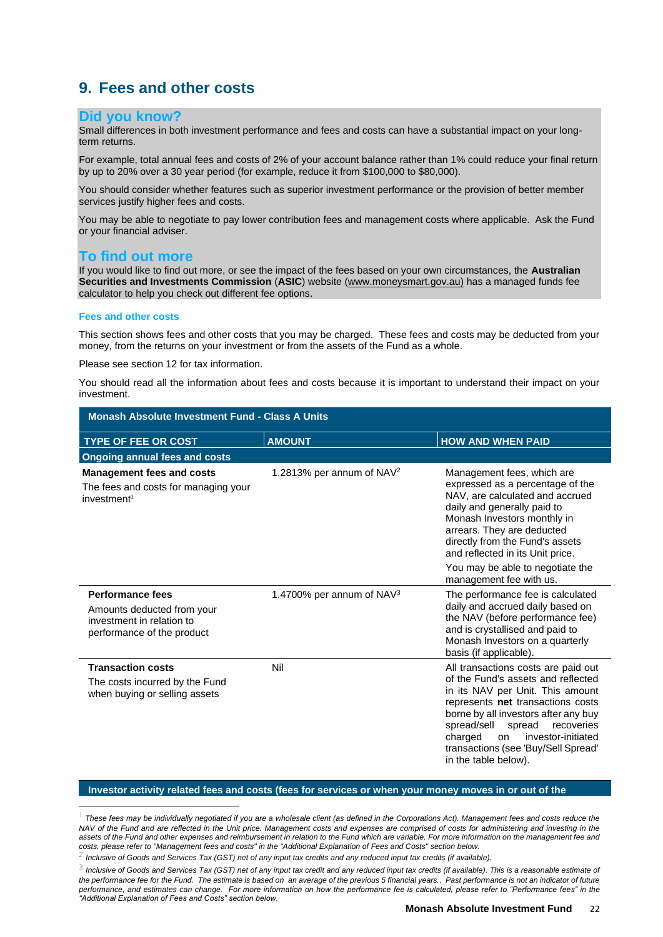# <span id="page-21-0"></span>**9. Fees and other costs**

### **Did you know?**

Small differences in both investment performance and fees and costs can have a substantial impact on your longterm returns.

For example, total annual fees and costs of 2% of your account balance rather than 1% could reduce your final return by up to 20% over a 30 year period (for example, reduce it from \$100,000 to \$80,000).

You should consider whether features such as superior investment performance or the provision of better member services justify higher fees and costs.

You may be able to negotiate to pay lower contribution fees and management costs where applicable. Ask the Fund or your financial adviser.

### **To find out more**

If you would like to find out more, or see the impact of the fees based on your own circumstances, the **Australian Securities and Investments Commission** (**ASIC**) website (www.moneysmart.gov.au) has a managed funds fee calculator to help you check out different fee options.

#### **Fees and other costs**

This section shows fees and other costs that you may be charged. These fees and costs may be deducted from your money, from the returns on your investment or from the assets of the Fund as a whole.

Please see section 12 for tax information.

You should read all the information about fees and costs because it is important to understand their impact on your investment.

| <b>Monash Absolute Investment Fund - Class A Units</b>                                                    |                                       |                                                                                                                                                                                                                                                                                                                                         |
|-----------------------------------------------------------------------------------------------------------|---------------------------------------|-----------------------------------------------------------------------------------------------------------------------------------------------------------------------------------------------------------------------------------------------------------------------------------------------------------------------------------------|
| <b>TYPE OF FEE OR COST</b>                                                                                | <b>AMOUNT</b>                         | <b>HOW AND WHEN PAID</b>                                                                                                                                                                                                                                                                                                                |
| <b>Ongoing annual fees and costs</b>                                                                      |                                       |                                                                                                                                                                                                                                                                                                                                         |
| <b>Management fees and costs</b><br>The fees and costs for managing your<br>investment <sup>1</sup>       | 1.2813% per annum of NAV <sup>2</sup> | Management fees, which are<br>expressed as a percentage of the<br>NAV, are calculated and accrued<br>daily and generally paid to<br>Monash Investors monthly in<br>arrears. They are deducted<br>directly from the Fund's assets<br>and reflected in its Unit price.                                                                    |
|                                                                                                           |                                       | You may be able to negotiate the<br>management fee with us.                                                                                                                                                                                                                                                                             |
| Performance fees<br>Amounts deducted from your<br>investment in relation to<br>performance of the product | 1.4700% per annum of NAV <sup>3</sup> | The performance fee is calculated<br>daily and accrued daily based on<br>the NAV (before performance fee)<br>and is crystallised and paid to<br>Monash Investors on a quarterly<br>basis (if applicable).                                                                                                                               |
| <b>Transaction costs</b><br>The costs incurred by the Fund<br>when buying or selling assets               | Nil                                   | All transactions costs are paid out<br>of the Fund's assets and reflected<br>in its NAV per Unit. This amount<br>represents net transactions costs<br>borne by all investors after any buy<br>spread/sell<br>spread<br>recoveries<br>charged<br>investor-initiated<br>on<br>transactions (see 'Buy/Sell Spread'<br>in the table below). |

#### **Investor activity related fees and costs (fees for services or when your money moves in or out of the**

<sup>1</sup> *These fees may be individually negotiated if you are a wholesale client (as defined in the Corporations Act). Management fees and costs reduce the*  NAV of the Fund and are reflected in the Unit price. Management costs and expenses are comprised of costs for administering and investing in the *assets of the Fund and other expenses and reimbursement in relation to the Fund which are variable. For more information on the management fee and costs, please refer to "Management fees and costs" in the "Additional Explanation of Fees and Costs" section below.*

<sup>2</sup> *Inclusive of Goods and Services Tax (GST) net of any input tax credits and any reduced input tax credits (if available).*

<sup>&</sup>lt;sup>3</sup> Inclusive of Goods and Services Tax (GST) net of any input tax credit and any reduced input tax credits (if available). This is a reasonable estimate of the performance fee for the Fund. The estimate is based on an average of the previous 5 financial years.. Past performance is not an indicator of future *performance, and estimates can change. For more information on how the performance fee is calculated, please refer to "Performance fees" in the "Additional Explanation of Fees and Costs" section below.*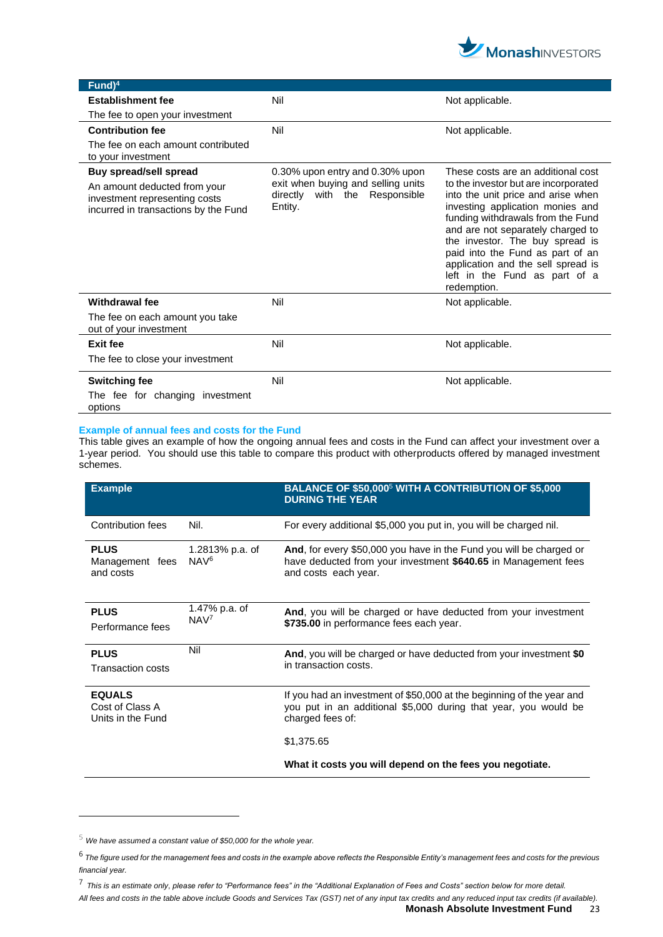

| $Fund)^4$                                                                                                                       |                                                                                                                      |                                                                                                                                                                                                                                                                                                                                                                                             |
|---------------------------------------------------------------------------------------------------------------------------------|----------------------------------------------------------------------------------------------------------------------|---------------------------------------------------------------------------------------------------------------------------------------------------------------------------------------------------------------------------------------------------------------------------------------------------------------------------------------------------------------------------------------------|
| <b>Establishment fee</b>                                                                                                        | Nil                                                                                                                  | Not applicable.                                                                                                                                                                                                                                                                                                                                                                             |
| The fee to open your investment                                                                                                 |                                                                                                                      |                                                                                                                                                                                                                                                                                                                                                                                             |
| <b>Contribution fee</b>                                                                                                         | Nil                                                                                                                  | Not applicable.                                                                                                                                                                                                                                                                                                                                                                             |
| The fee on each amount contributed<br>to your investment                                                                        |                                                                                                                      |                                                                                                                                                                                                                                                                                                                                                                                             |
| Buy spread/sell spread<br>An amount deducted from your<br>investment representing costs<br>incurred in transactions by the Fund | 0.30% upon entry and 0.30% upon<br>exit when buying and selling units<br>Responsible<br>directly with the<br>Entity. | These costs are an additional cost<br>to the investor but are incorporated<br>into the unit price and arise when<br>investing application monies and<br>funding withdrawals from the Fund<br>and are not separately charged to<br>the investor. The buy spread is<br>paid into the Fund as part of an<br>application and the sell spread is<br>left in the Fund as part of a<br>redemption. |
| <b>Withdrawal fee</b>                                                                                                           | Nil                                                                                                                  | Not applicable.                                                                                                                                                                                                                                                                                                                                                                             |
| The fee on each amount you take<br>out of your investment                                                                       |                                                                                                                      |                                                                                                                                                                                                                                                                                                                                                                                             |
| <b>Exit fee</b>                                                                                                                 | Nil                                                                                                                  | Not applicable.                                                                                                                                                                                                                                                                                                                                                                             |
| The fee to close your investment                                                                                                |                                                                                                                      |                                                                                                                                                                                                                                                                                                                                                                                             |
| <b>Switching fee</b>                                                                                                            | Nil                                                                                                                  | Not applicable.                                                                                                                                                                                                                                                                                                                                                                             |
| The fee for changing investment<br>options                                                                                      |                                                                                                                      |                                                                                                                                                                                                                                                                                                                                                                                             |

#### **Example of annual fees and costs for the Fund**

This table gives an example of how the ongoing annual fees and costs in the Fund can affect your investment over a 1-year period. You should use this table to compare this product with otherproducts offered by managed investment schemes.

| <b>Example</b>                                        |                                     | BALANCE OF \$50,000 <sup>5</sup> WITH A CONTRIBUTION OF \$5,000<br><b>DURING THE YEAR</b>                                                                     |
|-------------------------------------------------------|-------------------------------------|---------------------------------------------------------------------------------------------------------------------------------------------------------------|
| Contribution fees                                     | Nil.                                | For every additional \$5,000 you put in, you will be charged nil.                                                                                             |
| <b>PLUS</b><br>Management fees<br>and costs           | 1.2813% p.a. of<br>NAV <sup>6</sup> | And, for every \$50,000 you have in the Fund you will be charged or<br>have deducted from your investment \$640.65 in Management fees<br>and costs each year. |
| <b>PLUS</b><br>Performance fees                       | 1.47% p.a. of<br>NAV <sup>7</sup>   | And, you will be charged or have deducted from your investment<br>\$735.00 in performance fees each year.                                                     |
| <b>PLUS</b><br><b>Transaction costs</b>               | Nil                                 | And, you will be charged or have deducted from your investment \$0<br>in transaction costs.                                                                   |
| <b>EQUALS</b><br>Cost of Class A<br>Units in the Fund |                                     | If you had an investment of \$50,000 at the beginning of the year and<br>you put in an additional \$5,000 during that year, you would be<br>charged fees of:  |
|                                                       |                                     | \$1,375.65                                                                                                                                                    |
|                                                       |                                     | What it costs you will depend on the fees you negotiate.                                                                                                      |

<sup>5</sup> *We have assumed a constant value of \$50,000 for the whole year.*

<sup>6</sup> *The figure used for the management fees and costs in the example above reflects the Responsible Entity's management fees and costs for the previous financial year.* 

<sup>7</sup> *This is an estimate only*, *please refer to "Performance fees" in the "Additional Explanation of Fees and Costs" section below for more detail.*

*All fees and costs in the table above include Goods and Services Tax (GST) net of any input tax credits and any reduced input tax credits (if available).*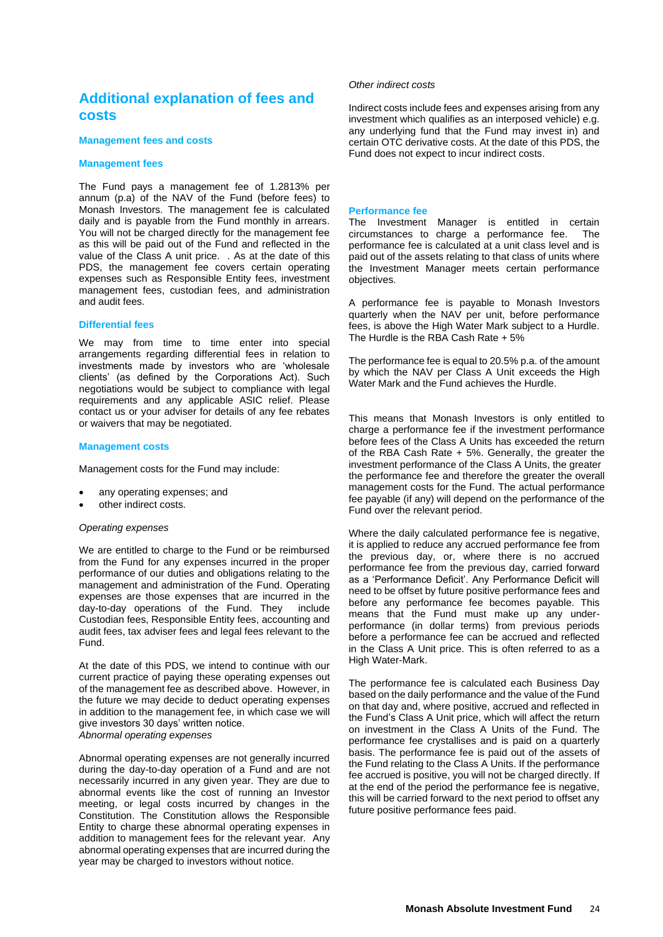# **Additional explanation of fees and costs**

#### **Management fees and costs**

#### **Management fees**

The Fund pays a management fee of 1.2813% per annum (p.a) of the NAV of the Fund (before fees) to Monash Investors. The management fee is calculated daily and is payable from the Fund monthly in arrears. You will not be charged directly for the management fee as this will be paid out of the Fund and reflected in the value of the Class A unit price. . As at the date of this PDS, the management fee covers certain operating expenses such as Responsible Entity fees, investment management fees, custodian fees, and administration and audit fees.

#### **Differential fees**

We may from time to time enter into special arrangements regarding differential fees in relation to investments made by investors who are 'wholesale clients' (as defined by the Corporations Act). Such negotiations would be subject to compliance with legal requirements and any applicable ASIC relief. Please contact us or your adviser for details of any fee rebates or waivers that may be negotiated.

#### **Management costs**

Management costs for the Fund may include:

- any operating expenses; and
- other indirect costs.

#### *Operating expenses*

We are entitled to charge to the Fund or be reimbursed from the Fund for any expenses incurred in the proper performance of our duties and obligations relating to the management and administration of the Fund. Operating expenses are those expenses that are incurred in the day-to-day operations of the Fund. They include Custodian fees, Responsible Entity fees, accounting and audit fees, tax adviser fees and legal fees relevant to the Fund.

At the date of this PDS, we intend to continue with our current practice of paying these operating expenses out of the management fee as described above. However, in the future we may decide to deduct operating expenses in addition to the management fee, in which case we will give investors 30 days' written notice. *Abnormal operating expenses*

Abnormal operating expenses are not generally incurred during the day-to-day operation of a Fund and are not necessarily incurred in any given year. They are due to abnormal events like the cost of running an Investor meeting, or legal costs incurred by changes in the Constitution. The Constitution allows the Responsible Entity to charge these abnormal operating expenses in addition to management fees for the relevant year. Any abnormal operating expenses that are incurred during the year may be charged to investors without notice.

#### *Other indirect costs*

Indirect costs include fees and expenses arising from any investment which qualifies as an interposed vehicle) e.g. any underlying fund that the Fund may invest in) and certain OTC derivative costs. At the date of this PDS, the Fund does not expect to incur indirect costs.

#### **Performance fee**

The Investment Manager is entitled in certain circumstances to charge a performance fee. The performance fee is calculated at a unit class level and is paid out of the assets relating to that class of units where the Investment Manager meets certain performance objectives.

A performance fee is payable to Monash Investors quarterly when the NAV per unit, before performance fees, is above the High Water Mark subject to a Hurdle. The Hurdle is the RBA Cash Rate + 5%

The performance fee is equal to 20.5% p.a. of the amount by which the NAV per Class A Unit exceeds the High Water Mark and the Fund achieves the Hurdle.

This means that Monash Investors is only entitled to charge a performance fee if the investment performance before fees of the Class A Units has exceeded the return of the RBA Cash Rate + 5%. Generally, the greater the investment performance of the Class A Units, the greater the performance fee and therefore the greater the overall management costs for the Fund. The actual performance fee payable (if any) will depend on the performance of the Fund over the relevant period.

Where the daily calculated performance fee is negative, it is applied to reduce any accrued performance fee from the previous day, or, where there is no accrued performance fee from the previous day, carried forward as a 'Performance Deficit'. Any Performance Deficit will need to be offset by future positive performance fees and before any performance fee becomes payable. This means that the Fund must make up any underperformance (in dollar terms) from previous periods before a performance fee can be accrued and reflected in the Class A Unit price. This is often referred to as a High Water-Mark.

The performance fee is calculated each Business Day based on the daily performance and the value of the Fund on that day and, where positive, accrued and reflected in the Fund's Class A Unit price, which will affect the return on investment in the Class A Units of the Fund. The performance fee crystallises and is paid on a quarterly basis. The performance fee is paid out of the assets of the Fund relating to the Class A Units. If the performance fee accrued is positive, you will not be charged directly. If at the end of the period the performance fee is negative, this will be carried forward to the next period to offset any future positive performance fees paid.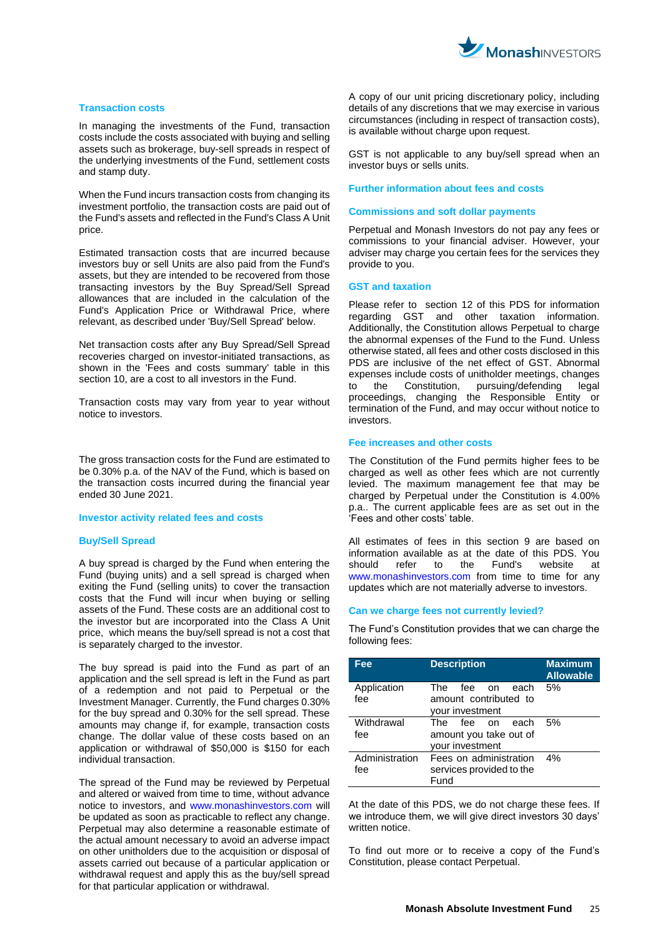

#### **Transaction costs**

In managing the investments of the Fund, transaction costs include the costs associated with buying and selling assets such as brokerage, buy-sell spreads in respect of the underlying investments of the Fund, settlement costs and stamp duty.

When the Fund incurs transaction costs from changing its investment portfolio, the transaction costs are paid out of the Fund's assets and reflected in the Fund's Class A Unit price.

Estimated transaction costs that are incurred because investors buy or sell Units are also paid from the Fund's assets, but they are intended to be recovered from those transacting investors by the Buy Spread/Sell Spread allowances that are included in the calculation of the Fund's Application Price or Withdrawal Price, where relevant, as described under 'Buy/Sell Spread' below.

Net transaction costs after any Buy Spread/Sell Spread recoveries charged on investor-initiated transactions, as shown in the 'Fees and costs summary' table in this section 10, are a cost to all investors in the Fund.

Transaction costs may vary from year to year without notice to investors.

The gross transaction costs for the Fund are estimated to be 0.30% p.a. of the NAV of the Fund, which is based on the transaction costs incurred during the financial year ended 30 June 2021.

#### **Investor activity related fees and costs**

#### **Buy/Sell Spread**

A buy spread is charged by the Fund when entering the Fund (buying units) and a sell spread is charged when exiting the Fund (selling units) to cover the transaction costs that the Fund will incur when buying or selling assets of the Fund. These costs are an additional cost to the investor but are incorporated into the Class A Unit price, which means the buy/sell spread is not a cost that is separately charged to the investor.

The buy spread is paid into the Fund as part of an application and the sell spread is left in the Fund as part of a redemption and not paid to Perpetual or the Investment Manager. Currently, the Fund charges 0.30% for the buy spread and 0.30% for the sell spread. These amounts may change if, for example, transaction costs change. The dollar value of these costs based on an application or withdrawal of \$50,000 is \$150 for each individual transaction.

The spread of the Fund may be reviewed by Perpetual and altered or waived from time to time, without advance notice to investors, and www.monashinvestors.com will be updated as soon as practicable to reflect any change. Perpetual may also determine a reasonable estimate of the actual amount necessary to avoid an adverse impact on other unitholders due to the acquisition or disposal of assets carried out because of a particular application or withdrawal request and apply this as the buy/sell spread for that particular application or withdrawal.

A copy of our unit pricing discretionary policy, including details of any discretions that we may exercise in various circumstances (including in respect of transaction costs), is available without charge upon request.

GST is not applicable to any buy/sell spread when an investor buys or sells units.

#### **Further information about fees and costs**

#### **Commissions and soft dollar payments**

Perpetual and Monash Investors do not pay any fees or commissions to your financial adviser. However, your adviser may charge you certain fees for the services they provide to you.

#### **GST and taxation**

Please refer to section 12 of this PDS for information regarding GST and other taxation information. Additionally, the Constitution allows Perpetual to charge the abnormal expenses of the Fund to the Fund. Unless otherwise stated, all fees and other costs disclosed in this PDS are inclusive of the net effect of GST. Abnormal expenses include costs of unitholder meetings, changes to the Constitution, pursuing/defending legal proceedings, changing the Responsible Entity or termination of the Fund, and may occur without notice to investors.

#### **Fee increases and other costs**

The Constitution of the Fund permits higher fees to be charged as well as other fees which are not currently levied. The maximum management fee that may be charged by Perpetual under the Constitution is 4.00% p.a.. The current applicable fees are as set out in the 'Fees and other costs' table.

All estimates of fees in this section 9 are based on information available as at the date of this PDS. You should refer to the Fund's website at www.monashinvestors.com from time to time for any updates which are not materially adverse to investors.

#### **Can we charge fees not currently levied?**

The Fund's Constitution provides that we can charge the following fees:

| Fee                   | <b>Description</b>                                                    | <b>Maximum</b><br><b>Allowable</b> |
|-----------------------|-----------------------------------------------------------------------|------------------------------------|
| Application<br>fee    | The<br>fee<br>each<br>on.<br>amount contributed to<br>your investment | 5%                                 |
| Withdrawal<br>fee     | The fee on<br>each<br>amount you take out of<br>your investment       | 5%                                 |
| Administration<br>fee | Fees on administration<br>services provided to the<br>Fund            | 4%                                 |

At the date of this PDS, we do not charge these fees. If we introduce them, we will give direct investors 30 days' written notice.

To find out more or to receive a copy of the Fund's Constitution, please contact Perpetual.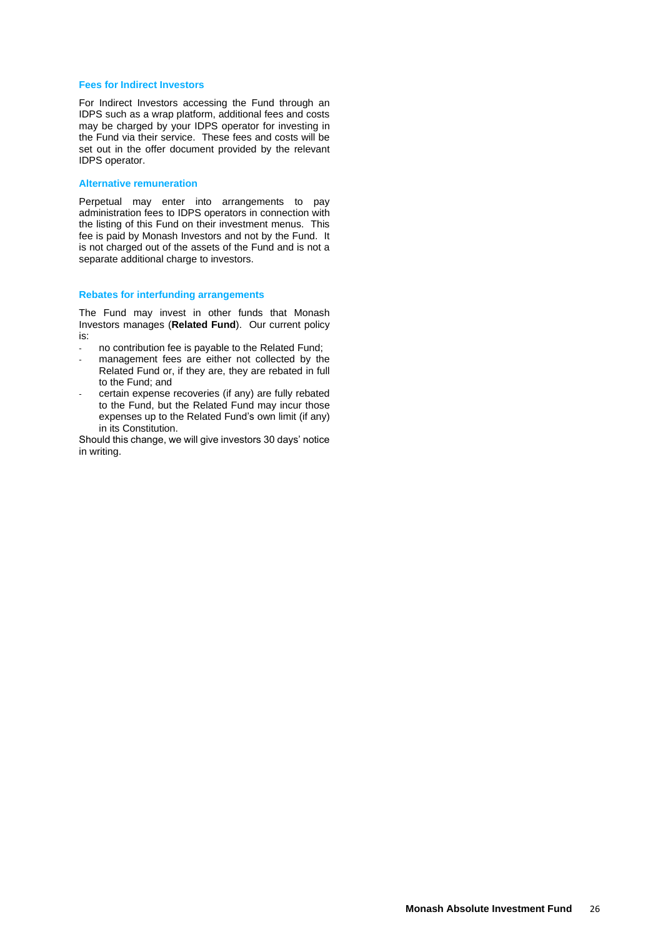#### **Fees for Indirect Investors**

For Indirect Investors accessing the Fund through an IDPS such as a wrap platform, additional fees and costs may be charged by your IDPS operator for investing in the Fund via their service. These fees and costs will be set out in the offer document provided by the relevant IDPS operator.

#### **Alternative remuneration**

Perpetual may enter into arrangements to pay administration fees to IDPS operators in connection with the listing of this Fund on their investment menus. This fee is paid by Monash Investors and not by the Fund. It is not charged out of the assets of the Fund and is not a separate additional charge to investors.

#### **Rebates for interfunding arrangements**

The Fund may invest in other funds that Monash Investors manages (**Related Fund**). Our current policy is:

- no contribution fee is payable to the Related Fund;
- management fees are either not collected by the Related Fund or, if they are, they are rebated in full to the Fund; and
- certain expense recoveries (if any) are fully rebated to the Fund, but the Related Fund may incur those expenses up to the Related Fund's own limit (if any) in its Constitution.

Should this change, we will give investors 30 days' notice in writing.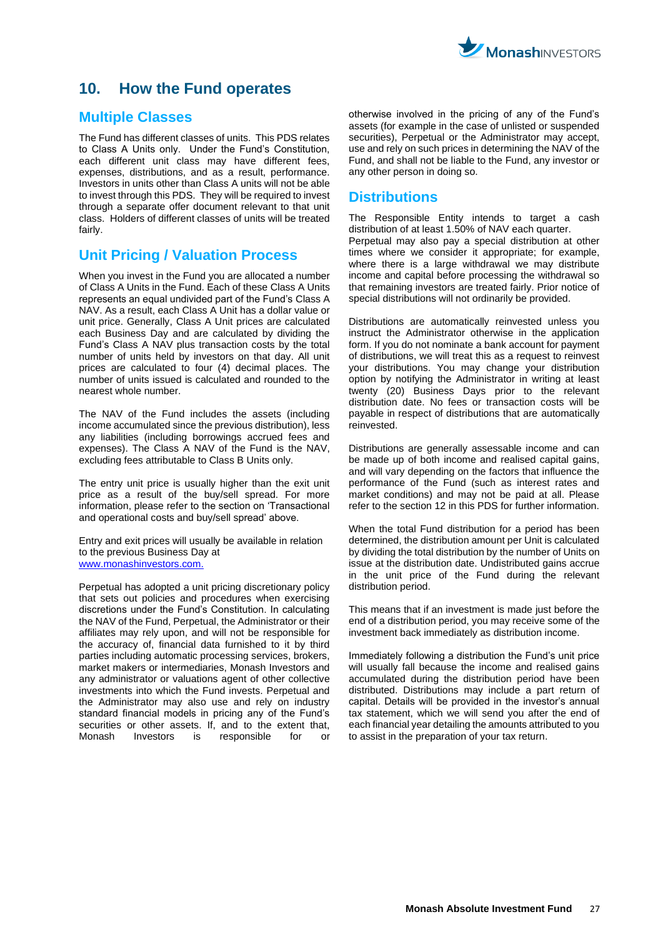

# <span id="page-26-0"></span>**10. How the Fund operates**

### **Multiple Classes**

The Fund has different classes of units. This PDS relates to Class A Units only. Under the Fund's Constitution, each different unit class may have different fees, expenses, distributions, and as a result, performance. Investors in units other than Class A units will not be able to invest through this PDS. They will be required to invest through a separate offer document relevant to that unit class. Holders of different classes of units will be treated fairly.

### **Unit Pricing / Valuation Process**

When you invest in the Fund you are allocated a number of Class A Units in the Fund. Each of these Class A Units represents an equal undivided part of the Fund's Class A NAV. As a result, each Class A Unit has a dollar value or unit price. Generally, Class A Unit prices are calculated each Business Day and are calculated by dividing the Fund's Class A NAV plus transaction costs by the total number of units held by investors on that day. All unit prices are calculated to four (4) decimal places. The number of units issued is calculated and rounded to the nearest whole number.

The NAV of the Fund includes the assets (including income accumulated since the previous distribution), less any liabilities (including borrowings accrued fees and expenses). The Class A NAV of the Fund is the NAV, excluding fees attributable to Class B Units only.

The entry unit price is usually higher than the exit unit price as a result of the buy/sell spread. For more information, please refer to the section on 'Transactional and operational costs and buy/sell spread' above.

Entry and exit prices will usually be available in relation to the previous Business Day at www.monashinvestors.com.

Perpetual has adopted a unit pricing discretionary policy that sets out policies and procedures when exercising discretions under the Fund's Constitution. In calculating the NAV of the Fund, Perpetual, the Administrator or their affiliates may rely upon, and will not be responsible for the accuracy of, financial data furnished to it by third parties including automatic processing services, brokers, market makers or intermediaries, Monash Investors and any administrator or valuations agent of other collective investments into which the Fund invests. Perpetual and the Administrator may also use and rely on industry standard financial models in pricing any of the Fund's securities or other assets. If, and to the extent that, Monash Investors is responsible for or otherwise involved in the pricing of any of the Fund's assets (for example in the case of unlisted or suspended securities), Perpetual or the Administrator may accept, use and rely on such prices in determining the NAV of the Fund, and shall not be liable to the Fund, any investor or any other person in doing so.

### **Distributions**

The Responsible Entity intends to target a cash distribution of at least 1.50% of NAV each quarter. Perpetual may also pay a special distribution at other times where we consider it appropriate; for example, where there is a large withdrawal we may distribute income and capital before processing the withdrawal so that remaining investors are treated fairly. Prior notice of special distributions will not ordinarily be provided.

Distributions are automatically reinvested unless you instruct the Administrator otherwise in the application form. If you do not nominate a bank account for payment of distributions, we will treat this as a request to reinvest your distributions. You may change your distribution option by notifying the Administrator in writing at least twenty (20) Business Days prior to the relevant distribution date. No fees or transaction costs will be payable in respect of distributions that are automatically reinvested.

Distributions are generally assessable income and can be made up of both income and realised capital gains. and will vary depending on the factors that influence the performance of the Fund (such as interest rates and market conditions) and may not be paid at all. Please refer to the section 12 in this PDS for further information.

When the total Fund distribution for a period has been determined, the distribution amount per Unit is calculated by dividing the total distribution by the number of Units on issue at the distribution date. Undistributed gains accrue in the unit price of the Fund during the relevant distribution period.

This means that if an investment is made just before the end of a distribution period, you may receive some of the investment back immediately as distribution income.

Immediately following a distribution the Fund's unit price will usually fall because the income and realised gains accumulated during the distribution period have been distributed. Distributions may include a part return of capital. Details will be provided in the investor's annual tax statement, which we will send you after the end of each financial year detailing the amounts attributed to you to assist in the preparation of your tax return.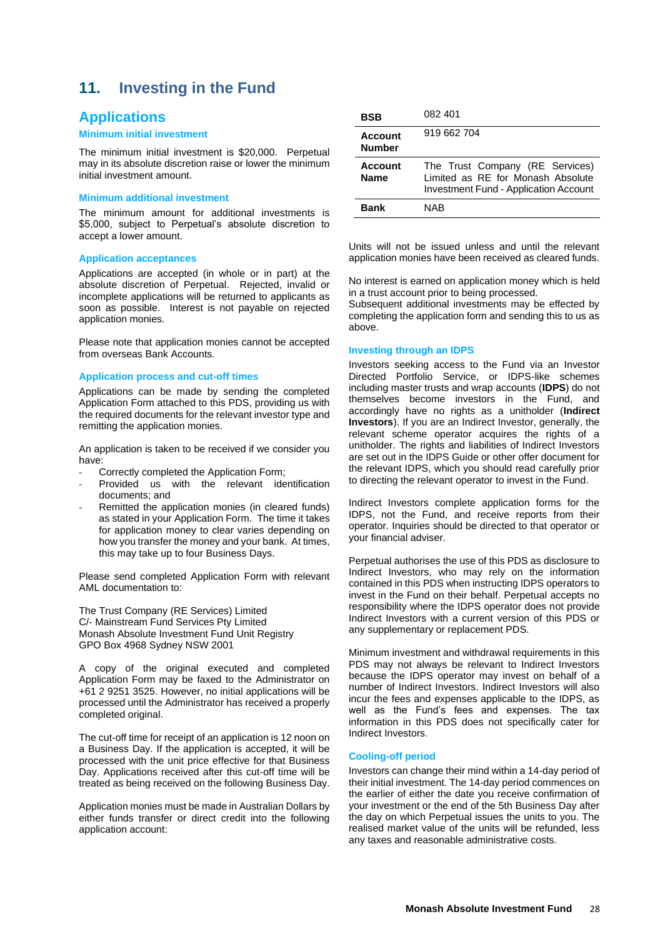# <span id="page-27-0"></span>**11. Investing in the Fund**

### **Applications**

#### **Minimum initial investment**

The minimum initial investment is \$20,000. Perpetual may in its absolute discretion raise or lower the minimum initial investment amount.

#### **Minimum additional investment**

The minimum amount for additional investments is \$5,000, subject to Perpetual's absolute discretion to accept a lower amount.

#### **Application acceptances**

Applications are accepted (in whole or in part) at the absolute discretion of Perpetual. Rejected, invalid or incomplete applications will be returned to applicants as soon as possible. Interest is not payable on rejected application monies.

Please note that application monies cannot be accepted from overseas Bank Accounts.

#### **Application process and cut-off times**

Applications can be made by sending the completed Application Form attached to this PDS, providing us with the required documents for the relevant investor type and remitting the application monies.

An application is taken to be received if we consider you have:

- Correctly completed the Application Form;
- Provided us with the relevant identification documents; and
- Remitted the application monies (in cleared funds) as stated in your Application Form. The time it takes for application money to clear varies depending on how you transfer the money and your bank. At times, this may take up to four Business Days.

Please send completed Application Form with relevant AML documentation to:

The Trust Company (RE Services) Limited C/- Mainstream Fund Services Pty Limited Monash Absolute Investment Fund Unit Registry GPO Box 4968 Sydney NSW 2001

A copy of the original executed and completed Application Form may be faxed to the Administrator on +61 2 9251 3525. However, no initial applications will be processed until the Administrator has received a properly completed original.

The cut-off time for receipt of an application is 12 noon on a Business Day. If the application is accepted, it will be processed with the unit price effective for that Business Day. Applications received after this cut-off time will be treated as being received on the following Business Day.

Application monies must be made in Australian Dollars by either funds transfer or direct credit into the following application account:

| BSB                      | 082 401                                                                                                              |
|--------------------------|----------------------------------------------------------------------------------------------------------------------|
| Account<br><b>Number</b> | 919 662 704                                                                                                          |
| Account<br><b>Name</b>   | The Trust Company (RE Services)<br>Limited as RE for Monash Absolute<br><b>Investment Fund - Application Account</b> |
| <b>Bank</b>              | NAR                                                                                                                  |

Units will not be issued unless and until the relevant application monies have been received as cleared funds.

No interest is earned on application money which is held in a trust account prior to being processed.

Subsequent additional investments may be effected by completing the application form and sending this to us as above.

#### **Investing through an IDPS**

Investors seeking access to the Fund via an Investor Directed Portfolio Service, or IDPS-like schemes including master trusts and wrap accounts (**IDPS**) do not themselves become investors in the Fund, and accordingly have no rights as a unitholder (**Indirect Investors**). If you are an Indirect Investor, generally, the relevant scheme operator acquires the rights of a unitholder. The rights and liabilities of Indirect Investors are set out in the IDPS Guide or other offer document for the relevant IDPS, which you should read carefully prior to directing the relevant operator to invest in the Fund.

Indirect Investors complete application forms for the IDPS, not the Fund, and receive reports from their operator. Inquiries should be directed to that operator or your financial adviser.

Perpetual authorises the use of this PDS as disclosure to Indirect Investors, who may rely on the information contained in this PDS when instructing IDPS operators to invest in the Fund on their behalf. Perpetual accepts no responsibility where the IDPS operator does not provide Indirect Investors with a current version of this PDS or any supplementary or replacement PDS.

Minimum investment and withdrawal requirements in this PDS may not always be relevant to Indirect Investors because the IDPS operator may invest on behalf of a number of Indirect Investors. Indirect Investors will also incur the fees and expenses applicable to the IDPS, as well as the Fund's fees and expenses. The tax information in this PDS does not specifically cater for Indirect Investors.

#### **Cooling-off period**

Investors can change their mind within a 14-day period of their initial investment. The 14-day period commences on the earlier of either the date you receive confirmation of your investment or the end of the 5th Business Day after the day on which Perpetual issues the units to you. The realised market value of the units will be refunded, less any taxes and reasonable administrative costs.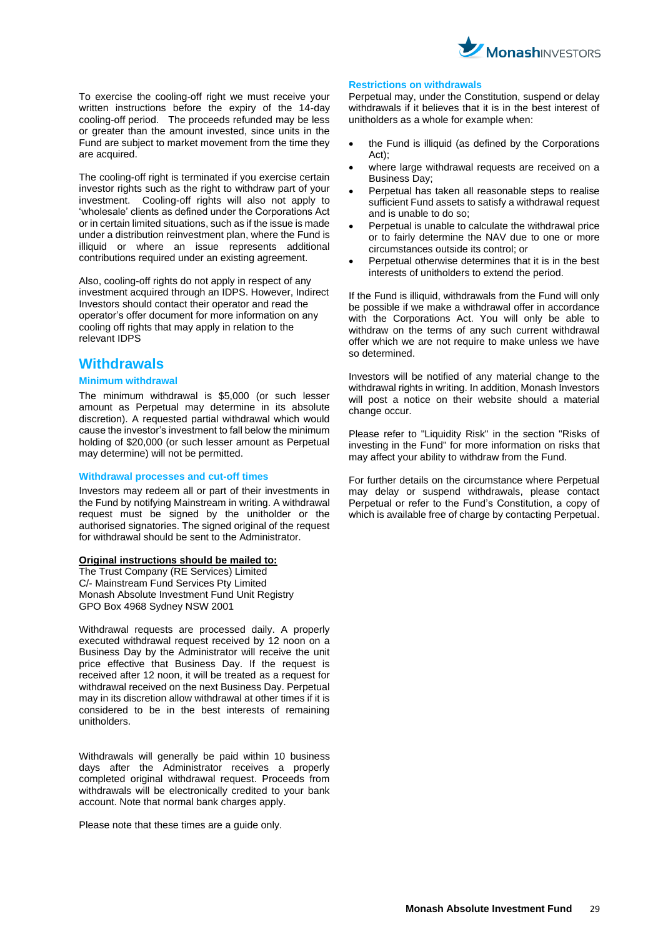

To exercise the cooling-off right we must receive your written instructions before the expiry of the 14-day cooling-off period. The proceeds refunded may be less or greater than the amount invested, since units in the Fund are subject to market movement from the time they are acquired.

The cooling-off right is terminated if you exercise certain investor rights such as the right to withdraw part of your investment. Cooling-off rights will also not apply to 'wholesale' clients as defined under the Corporations Act or in certain limited situations, such as if the issue is made under a distribution reinvestment plan, where the Fund is illiquid or where an issue represents additional contributions required under an existing agreement.

Also, cooling-off rights do not apply in respect of any investment acquired through an IDPS. However, Indirect Investors should contact their operator and read the operator's offer document for more information on any cooling off rights that may apply in relation to the relevant IDPS

### **Withdrawals**

#### **Minimum withdrawal**

The minimum withdrawal is \$5,000 (or such lesser amount as Perpetual may determine in its absolute discretion). A requested partial withdrawal which would cause the investor's investment to fall below the minimum holding of \$20,000 (or such lesser amount as Perpetual may determine) will not be permitted.

#### **Withdrawal processes and cut-off times**

Investors may redeem all or part of their investments in the Fund by notifying Mainstream in writing. A withdrawal request must be signed by the unitholder or the authorised signatories. The signed original of the request for withdrawal should be sent to the Administrator.

#### **Original instructions should be mailed to:**

The Trust Company (RE Services) Limited C/- Mainstream Fund Services Pty Limited Monash Absolute Investment Fund Unit Registry GPO Box 4968 Sydney NSW 2001

Withdrawal requests are processed daily. A properly executed withdrawal request received by 12 noon on a Business Day by the Administrator will receive the unit price effective that Business Day. If the request is received after 12 noon, it will be treated as a request for withdrawal received on the next Business Day. Perpetual may in its discretion allow withdrawal at other times if it is considered to be in the best interests of remaining unitholders.

Withdrawals will generally be paid within 10 business days after the Administrator receives a properly completed original withdrawal request. Proceeds from withdrawals will be electronically credited to your bank account. Note that normal bank charges apply.

Please note that these times are a guide only.

#### **Restrictions on withdrawals**

Perpetual may, under the Constitution, suspend or delay withdrawals if it believes that it is in the best interest of unitholders as a whole for example when:

- the Fund is illiquid (as defined by the Corporations  $A$ ct);
- where large withdrawal requests are received on a Business Day;
- Perpetual has taken all reasonable steps to realise sufficient Fund assets to satisfy a withdrawal request and is unable to do so;
- Perpetual is unable to calculate the withdrawal price or to fairly determine the NAV due to one or more circumstances outside its control; or
- Perpetual otherwise determines that it is in the best interests of unitholders to extend the period.

If the Fund is illiquid, withdrawals from the Fund will only be possible if we make a withdrawal offer in accordance with the Corporations Act. You will only be able to withdraw on the terms of any such current withdrawal offer which we are not require to make unless we have so determined.

Investors will be notified of any material change to the withdrawal rights in writing. In addition, Monash Investors will post a notice on their website should a material change occur.

Please refer to "Liquidity Risk" in the section "Risks of investing in the Fund" for more information on risks that may affect your ability to withdraw from the Fund.

For further details on the circumstance where Perpetual may delay or suspend withdrawals, please contact Perpetual or refer to the Fund's Constitution, a copy of which is available free of charge by contacting Perpetual.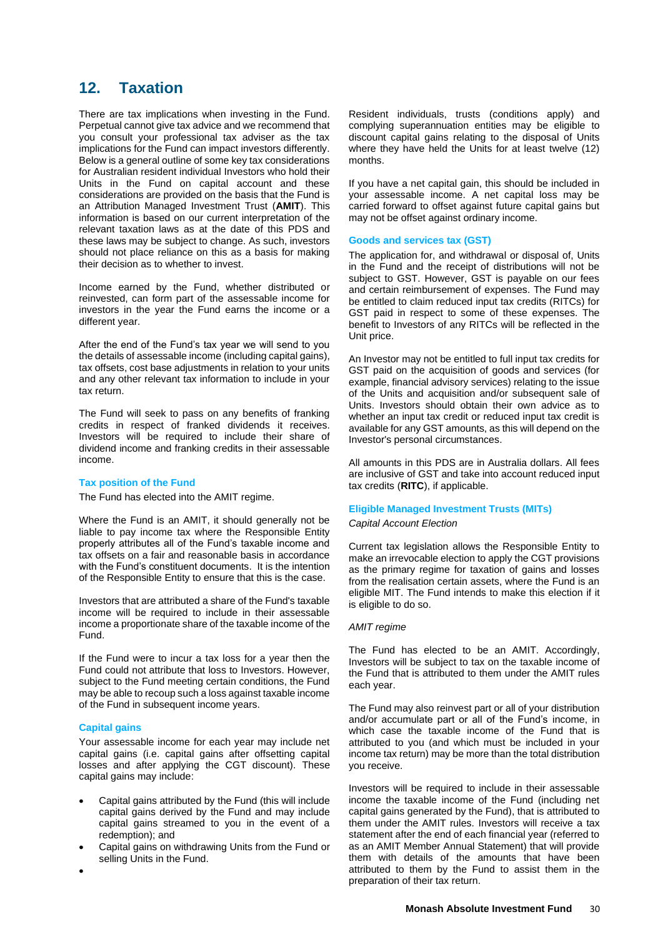# <span id="page-29-0"></span>**12. Taxation**

There are tax implications when investing in the Fund. Perpetual cannot give tax advice and we recommend that you consult your professional tax adviser as the tax implications for the Fund can impact investors differently. Below is a general outline of some key tax considerations for Australian resident individual Investors who hold their Units in the Fund on capital account and these considerations are provided on the basis that the Fund is an Attribution Managed Investment Trust (**AMIT**). This information is based on our current interpretation of the relevant taxation laws as at the date of this PDS and these laws may be subject to change. As such, investors should not place reliance on this as a basis for making their decision as to whether to invest.

Income earned by the Fund, whether distributed or reinvested, can form part of the assessable income for investors in the year the Fund earns the income or a different year.

After the end of the Fund's tax year we will send to you the details of assessable income (including capital gains), tax offsets, cost base adjustments in relation to your units and any other relevant tax information to include in your tax return.

The Fund will seek to pass on any benefits of franking credits in respect of franked dividends it receives. Investors will be required to include their share of dividend income and franking credits in their assessable income.

#### **Tax position of the Fund**

The Fund has elected into the AMIT regime.

Where the Fund is an AMIT, it should generally not be liable to pay income tax where the Responsible Entity properly attributes all of the Fund's taxable income and tax offsets on a fair and reasonable basis in accordance with the Fund's constituent documents. It is the intention of the Responsible Entity to ensure that this is the case.

Investors that are attributed a share of the Fund's taxable income will be required to include in their assessable income a proportionate share of the taxable income of the Fund.

If the Fund were to incur a tax loss for a year then the Fund could not attribute that loss to Investors. However, subject to the Fund meeting certain conditions, the Fund may be able to recoup such a loss against taxable income of the Fund in subsequent income years.

#### **Capital gains**

•

Your assessable income for each year may include net capital gains (i.e. capital gains after offsetting capital losses and after applying the CGT discount). These capital gains may include:

- Capital gains attributed by the Fund (this will include capital gains derived by the Fund and may include capital gains streamed to you in the event of a redemption); and
- Capital gains on withdrawing Units from the Fund or selling Units in the Fund.

Resident individuals, trusts (conditions apply) and complying superannuation entities may be eligible to discount capital gains relating to the disposal of Units where they have held the Units for at least twelve (12) months.

If you have a net capital gain, this should be included in your assessable income. A net capital loss may be carried forward to offset against future capital gains but may not be offset against ordinary income.

#### **Goods and services tax (GST)**

The application for, and withdrawal or disposal of, Units in the Fund and the receipt of distributions will not be subject to GST. However, GST is payable on our fees and certain reimbursement of expenses. The Fund may be entitled to claim reduced input tax credits (RITCs) for GST paid in respect to some of these expenses. The benefit to Investors of any RITCs will be reflected in the Unit price.

An Investor may not be entitled to full input tax credits for GST paid on the acquisition of goods and services (for example, financial advisory services) relating to the issue of the Units and acquisition and/or subsequent sale of Units. Investors should obtain their own advice as to whether an input tax credit or reduced input tax credit is available for any GST amounts, as this will depend on the Investor's personal circumstances.

All amounts in this PDS are in Australia dollars. All fees are inclusive of GST and take into account reduced input tax credits (**RITC**), if applicable.

#### **Eligible Managed Investment Trusts (MITs)**

#### *Capital Account Election*

Current tax legislation allows the Responsible Entity to make an irrevocable election to apply the CGT provisions as the primary regime for taxation of gains and losses from the realisation certain assets, where the Fund is an eligible MIT. The Fund intends to make this election if it is eligible to do so.

#### *AMIT regime*

The Fund has elected to be an AMIT. Accordingly, Investors will be subject to tax on the taxable income of the Fund that is attributed to them under the AMIT rules each year.

The Fund may also reinvest part or all of your distribution and/or accumulate part or all of the Fund's income, in which case the taxable income of the Fund that is attributed to you (and which must be included in your income tax return) may be more than the total distribution you receive.

Investors will be required to include in their assessable income the taxable income of the Fund (including net capital gains generated by the Fund), that is attributed to them under the AMIT rules. Investors will receive a tax statement after the end of each financial year (referred to as an AMIT Member Annual Statement) that will provide them with details of the amounts that have been attributed to them by the Fund to assist them in the preparation of their tax return.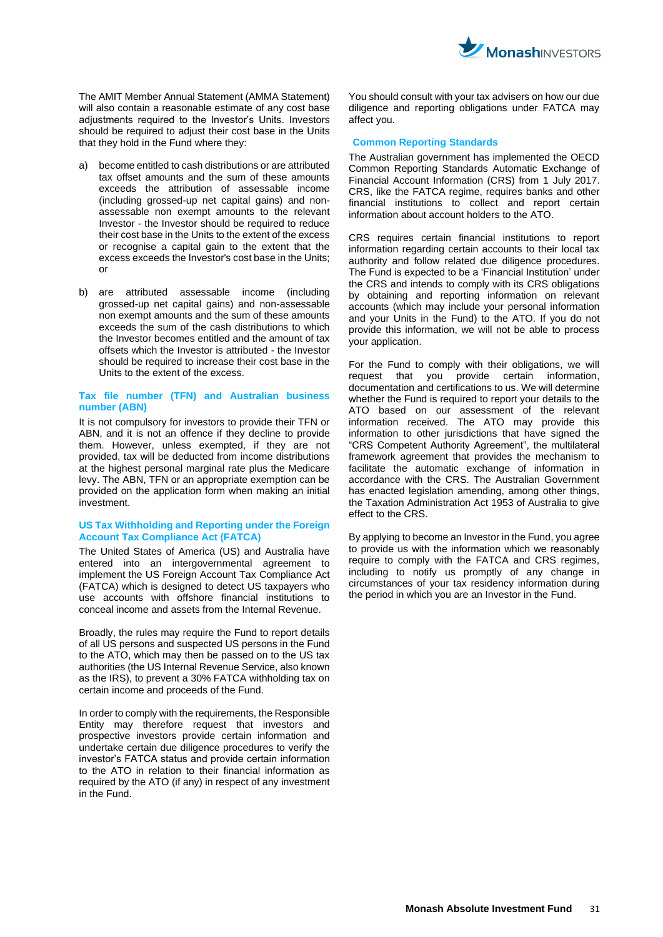

The AMIT Member Annual Statement (AMMA Statement) will also contain a reasonable estimate of any cost base adjustments required to the Investor's Units. Investors should be required to adjust their cost base in the Units that they hold in the Fund where they:

- a) become entitled to cash distributions or are attributed tax offset amounts and the sum of these amounts exceeds the attribution of assessable income (including grossed-up net capital gains) and nonassessable non exempt amounts to the relevant Investor - the Investor should be required to reduce their cost base in the Units to the extent of the excess or recognise a capital gain to the extent that the excess exceeds the Investor's cost base in the Units; or
- b) are attributed assessable income (including grossed-up net capital gains) and non-assessable non exempt amounts and the sum of these amounts exceeds the sum of the cash distributions to which the Investor becomes entitled and the amount of tax offsets which the Investor is attributed - the Investor should be required to increase their cost base in the Units to the extent of the excess.

#### **Tax file number (TFN) and Australian business number (ABN)**

It is not compulsory for investors to provide their TFN or ABN, and it is not an offence if they decline to provide them. However, unless exempted, if they are not provided, tax will be deducted from income distributions at the highest personal marginal rate plus the Medicare levy. The ABN, TFN or an appropriate exemption can be provided on the application form when making an initial investment.

#### **US Tax Withholding and Reporting under the Foreign Account Tax Compliance Act (FATCA)**

The United States of America (US) and Australia have entered into an intergovernmental agreement to implement the US Foreign Account Tax Compliance Act (FATCA) which is designed to detect US taxpayers who use accounts with offshore financial institutions to conceal income and assets from the Internal Revenue.

Broadly, the rules may require the Fund to report details of all US persons and suspected US persons in the Fund to the ATO, which may then be passed on to the US tax authorities (the US Internal Revenue Service, also known as the IRS), to prevent a 30% FATCA withholding tax on certain income and proceeds of the Fund.

In order to comply with the requirements, the Responsible Entity may therefore request that investors and prospective investors provide certain information and undertake certain due diligence procedures to verify the investor's FATCA status and provide certain information to the ATO in relation to their financial information as required by the ATO (if any) in respect of any investment in the Fund.

You should consult with your tax advisers on how our due diligence and reporting obligations under FATCA may affect you.

#### **Common Reporting Standards**

The Australian government has implemented the OECD Common Reporting Standards Automatic Exchange of Financial Account Information (CRS) from 1 July 2017. CRS, like the FATCA regime, requires banks and other financial institutions to collect and report certain information about account holders to the ATO.

CRS requires certain financial institutions to report information regarding certain accounts to their local tax authority and follow related due diligence procedures. The Fund is expected to be a 'Financial Institution' under the CRS and intends to comply with its CRS obligations by obtaining and reporting information on relevant accounts (which may include your personal information and your Units in the Fund) to the ATO. If you do not provide this information, we will not be able to process your application.

For the Fund to comply with their obligations, we will request that you provide certain information, documentation and certifications to us. We will determine whether the Fund is required to report your details to the ATO based on our assessment of the relevant information received. The ATO may provide this information to other jurisdictions that have signed the "CRS Competent Authority Agreement", the multilateral framework agreement that provides the mechanism to facilitate the automatic exchange of information in accordance with the CRS. The Australian Government has enacted legislation amending, among other things, the Taxation Administration Act 1953 of Australia to give effect to the CRS.

By applying to become an Investor in the Fund, you agree to provide us with the information which we reasonably require to comply with the FATCA and CRS regimes, including to notify us promptly of any change in circumstances of your tax residency information during the period in which you are an Investor in the Fund.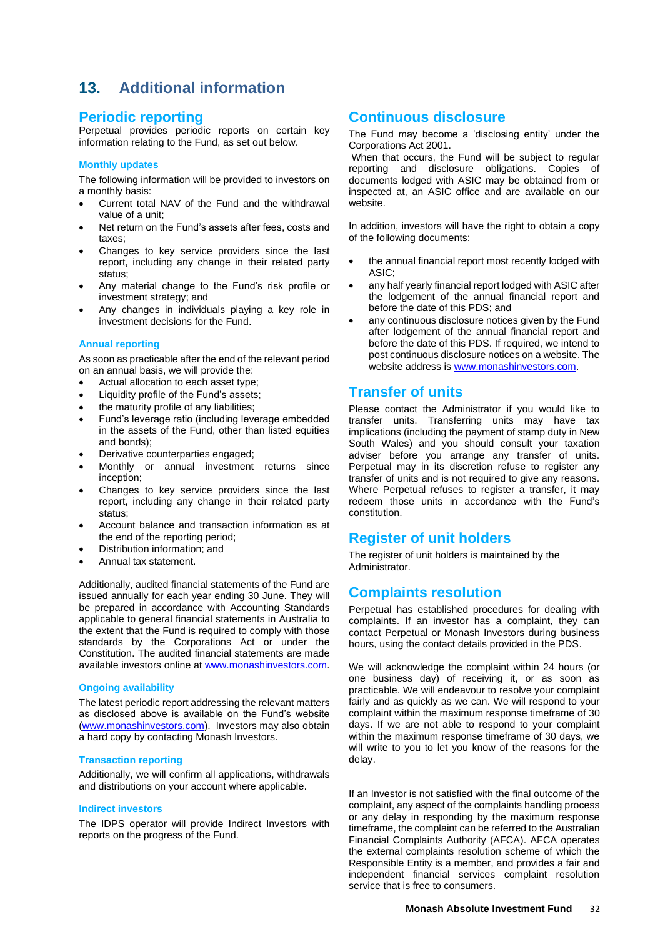# <span id="page-31-0"></span>**13. Additional information**

### **Periodic reporting**

Perpetual provides periodic reports on certain key information relating to the Fund, as set out below.

#### **Monthly updates**

The following information will be provided to investors on a monthly basis:

- Current total NAV of the Fund and the withdrawal value of a unit;
- Net return on the Fund's assets after fees, costs and taxes;
- Changes to key service providers since the last report, including any change in their related party status;
- Any material change to the Fund's risk profile or investment strategy; and
- Any changes in individuals playing a key role in investment decisions for the Fund.

#### **Annual reporting**

As soon as practicable after the end of the relevant period on an annual basis, we will provide the:

- Actual allocation to each asset type;
- Liquidity profile of the Fund's assets;
- the maturity profile of any liabilities;
- Fund's leverage ratio (including leverage embedded in the assets of the Fund, other than listed equities and bonds);
- Derivative counterparties engaged;
- Monthly or annual investment returns since inception;
- Changes to key service providers since the last report, including any change in their related party status;
- Account balance and transaction information as at the end of the reporting period;
- Distribution information; and
- Annual tax statement.

Additionally, audited financial statements of the Fund are issued annually for each year ending 30 June. They will be prepared in accordance with Accounting Standards applicable to general financial statements in Australia to the extent that the Fund is required to comply with those standards by the Corporations Act or under the Constitution. The audited financial statements are made available investors online at [www.monashinvestors.com.](http://www.monashinvestors.com/)

#### **Ongoing availability**

The latest periodic report addressing the relevant matters as disclosed above is available on the Fund's website [\(www.monashinvestors.com\)](http://www.monashinvestors.com/). Investors may also obtain a hard copy by contacting Monash Investors.

#### **Transaction reporting**

Additionally, we will confirm all applications, withdrawals and distributions on your account where applicable.

#### **Indirect investors**

The IDPS operator will provide Indirect Investors with reports on the progress of the Fund.

# **Continuous disclosure**

The Fund may become a 'disclosing entity' under the Corporations Act 2001.

When that occurs, the Fund will be subject to regular reporting and disclosure obligations. Copies of documents lodged with ASIC may be obtained from or inspected at, an ASIC office and are available on our website.

In addition, investors will have the right to obtain a copy of the following documents:

- the annual financial report most recently lodged with ASIC;
- any half yearly financial report lodged with ASIC after the lodgement of the annual financial report and before the date of this PDS; and
- any continuous disclosure notices given by the Fund after lodgement of the annual financial report and before the date of this PDS. If required, we intend to post continuous disclosure notices on a website. The website address is [www.monashinvestors.com.](http://www.monashinvestors.com/)

# **Transfer of units**

Please contact the Administrator if you would like to transfer units. Transferring units may have tax implications (including the payment of stamp duty in New South Wales) and you should consult your taxation adviser before you arrange any transfer of units. Perpetual may in its discretion refuse to register any transfer of units and is not required to give any reasons. Where Perpetual refuses to register a transfer, it may redeem those units in accordance with the Fund's constitution.

### **Register of unit holders**

The register of unit holders is maintained by the **Administrator** 

### **Complaints resolution**

Perpetual has established procedures for dealing with complaints. If an investor has a complaint, they can contact Perpetual or Monash Investors during business hours, using the contact details provided in the PDS.

We will acknowledge the complaint within 24 hours (or one business day) of receiving it, or as soon as practicable. We will endeavour to resolve your complaint fairly and as quickly as we can. We will respond to your complaint within the maximum response timeframe of 30 days. If we are not able to respond to your complaint within the maximum response timeframe of 30 days, we will write to you to let you know of the reasons for the delay.

If an Investor is not satisfied with the final outcome of the complaint, any aspect of the complaints handling process or any delay in responding by the maximum response timeframe, the complaint can be referred to the Australian Financial Complaints Authority (AFCA). AFCA operates the external complaints resolution scheme of which the Responsible Entity is a member, and provides a fair and independent financial services complaint resolution service that is free to consumers.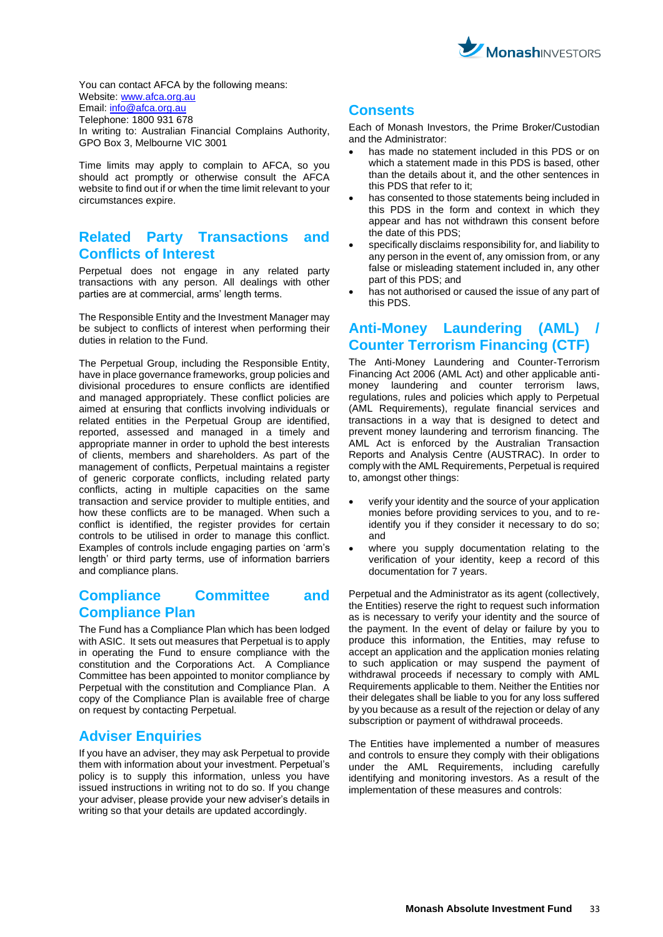

You can contact AFCA by the following means: Website[: www.afca.org.au](http://www.afca.org.au/) Email: [info@afca.org.au](mailto:info@afca.org.au) Telephone: 1800 931 678 In writing to: Australian Financial Complains Authority, GPO Box 3, Melbourne VIC 3001

Time limits may apply to complain to AFCA, so you should act promptly or otherwise consult the AFCA website to find out if or when the time limit relevant to your circumstances expire.

# **Related Party Transactions and Conflicts of Interest**

Perpetual does not engage in any related party transactions with any person. All dealings with other parties are at commercial, arms' length terms.

The Responsible Entity and the Investment Manager may be subject to conflicts of interest when performing their duties in relation to the Fund.

The Perpetual Group, including the Responsible Entity, have in place governance frameworks, group policies and divisional procedures to ensure conflicts are identified and managed appropriately. These conflict policies are aimed at ensuring that conflicts involving individuals or related entities in the Perpetual Group are identified, reported, assessed and managed in a timely and appropriate manner in order to uphold the best interests of clients, members and shareholders. As part of the management of conflicts, Perpetual maintains a register of generic corporate conflicts, including related party conflicts, acting in multiple capacities on the same transaction and service provider to multiple entities, and how these conflicts are to be managed. When such a conflict is identified, the register provides for certain controls to be utilised in order to manage this conflict. Examples of controls include engaging parties on 'arm's length' or third party terms, use of information barriers and compliance plans.

# **Compliance Committee and Compliance Plan**

The Fund has a Compliance Plan which has been lodged with ASIC. It sets out measures that Perpetual is to apply in operating the Fund to ensure compliance with the constitution and the Corporations Act. A Compliance Committee has been appointed to monitor compliance by Perpetual with the constitution and Compliance Plan. A copy of the Compliance Plan is available free of charge on request by contacting Perpetual.

### **Adviser Enquiries**

If you have an adviser, they may ask Perpetual to provide them with information about your investment. Perpetual's policy is to supply this information, unless you have issued instructions in writing not to do so. If you change your adviser, please provide your new adviser's details in writing so that your details are updated accordingly.

# **Consents**

Each of Monash Investors, the Prime Broker/Custodian and the Administrator:

- has made no statement included in this PDS or on which a statement made in this PDS is based, other than the details about it, and the other sentences in this PDS that refer to it;
- has consented to those statements being included in this PDS in the form and context in which they appear and has not withdrawn this consent before the date of this PDS;
- specifically disclaims responsibility for, and liability to any person in the event of, any omission from, or any false or misleading statement included in, any other part of this PDS; and
- has not authorised or caused the issue of any part of this PDS.

# **Anti-Money Laundering (AML) / Counter Terrorism Financing (CTF)**

The Anti-Money Laundering and Counter-Terrorism Financing Act 2006 (AML Act) and other applicable antimoney laundering and counter terrorism laws, regulations, rules and policies which apply to Perpetual (AML Requirements), regulate financial services and transactions in a way that is designed to detect and prevent money laundering and terrorism financing. The AML Act is enforced by the Australian Transaction Reports and Analysis Centre (AUSTRAC). In order to comply with the AML Requirements, Perpetual is required to, amongst other things:

- verify your identity and the source of your application monies before providing services to you, and to reidentify you if they consider it necessary to do so; and
- where you supply documentation relating to the verification of your identity, keep a record of this documentation for 7 years.

Perpetual and the Administrator as its agent (collectively, the Entities) reserve the right to request such information as is necessary to verify your identity and the source of the payment. In the event of delay or failure by you to produce this information, the Entities, may refuse to accept an application and the application monies relating to such application or may suspend the payment of withdrawal proceeds if necessary to comply with AML Requirements applicable to them. Neither the Entities nor their delegates shall be liable to you for any loss suffered by you because as a result of the rejection or delay of any subscription or payment of withdrawal proceeds.

The Entities have implemented a number of measures and controls to ensure they comply with their obligations under the AML Requirements, including carefully identifying and monitoring investors. As a result of the implementation of these measures and controls: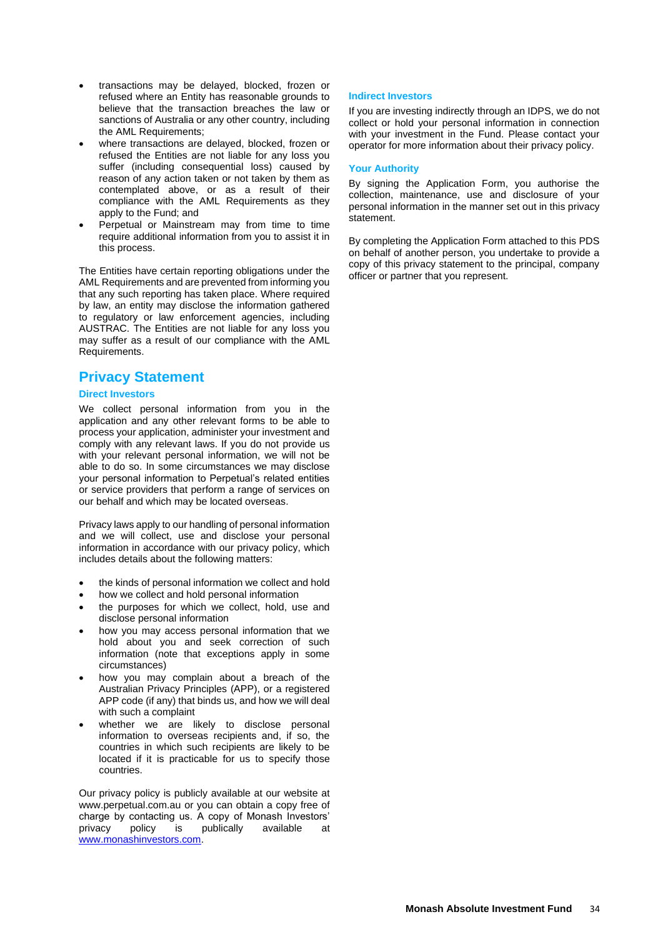- transactions may be delayed, blocked, frozen or refused where an Entity has reasonable grounds to believe that the transaction breaches the law or sanctions of Australia or any other country, including the AML Requirements;
- where transactions are delayed, blocked, frozen or refused the Entities are not liable for any loss you suffer (including consequential loss) caused by reason of any action taken or not taken by them as contemplated above, or as a result of their compliance with the AML Requirements as they apply to the Fund; and
- Perpetual or Mainstream may from time to time require additional information from you to assist it in this process.

The Entities have certain reporting obligations under the AML Requirements and are prevented from informing you that any such reporting has taken place. Where required by law, an entity may disclose the information gathered to regulatory or law enforcement agencies, including AUSTRAC. The Entities are not liable for any loss you may suffer as a result of our compliance with the AML Requirements.

# **Privacy Statement**

#### **Direct Investors**

We collect personal information from you in the application and any other relevant forms to be able to process your application, administer your investment and comply with any relevant laws. If you do not provide us with your relevant personal information, we will not be able to do so. In some circumstances we may disclose your personal information to Perpetual's related entities or service providers that perform a range of services on our behalf and which may be located overseas.

Privacy laws apply to our handling of personal information and we will collect, use and disclose your personal information in accordance with our privacy policy, which includes details about the following matters:

- the kinds of personal information we collect and hold
- how we collect and hold personal information
- the purposes for which we collect, hold, use and disclose personal information
- how you may access personal information that we hold about you and seek correction of such information (note that exceptions apply in some circumstances)
- how you may complain about a breach of the Australian Privacy Principles (APP), or a registered APP code (if any) that binds us, and how we will deal with such a complaint
- whether we are likely to disclose personal information to overseas recipients and, if so, the countries in which such recipients are likely to be located if it is practicable for us to specify those countries.

Our privacy policy is publicly available at our website at [www.perpetual.com.au](http://www.perpetual.com.au/) or you can obtain a copy free of charge by contacting us. A copy of Monash Investors' privacy policy is publically available at [www.monashinvestors.com.](http://www.monashinvestors.com/)

#### **Indirect Investors**

If you are investing indirectly through an IDPS, we do not collect or hold your personal information in connection with your investment in the Fund. Please contact your operator for more information about their privacy policy.

#### **Your Authority**

By signing the Application Form, you authorise the collection, maintenance, use and disclosure of your personal information in the manner set out in this privacy statement.

By completing the Application Form attached to this PDS on behalf of another person, you undertake to provide a copy of this privacy statement to the principal, company officer or partner that you represent.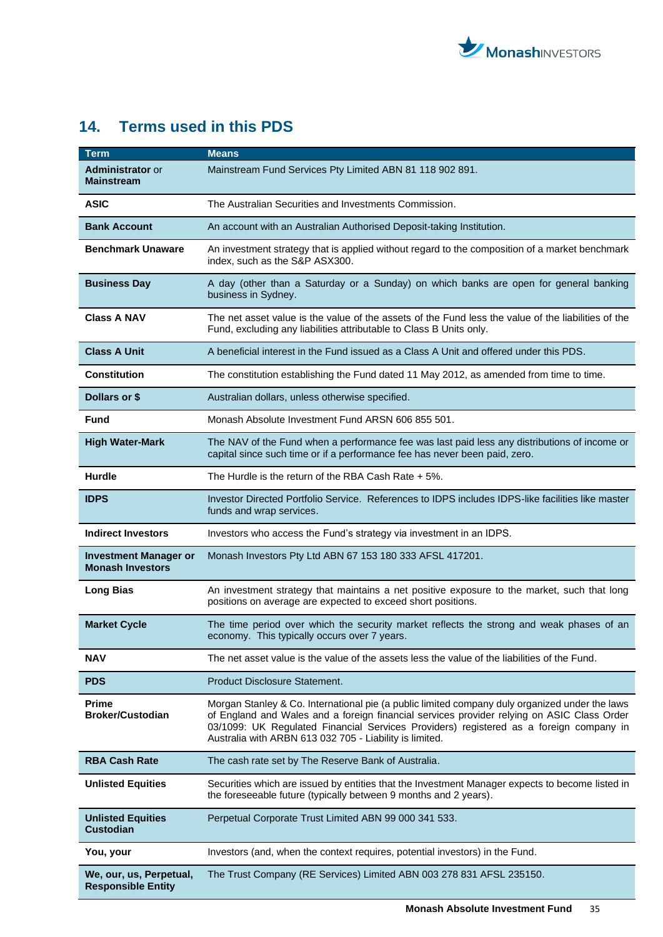

# <span id="page-34-0"></span>**14. Terms used in this PDS**

| Term                                                    | <b>Means</b>                                                                                                                                                                                                                                                                                                                                      |
|---------------------------------------------------------|---------------------------------------------------------------------------------------------------------------------------------------------------------------------------------------------------------------------------------------------------------------------------------------------------------------------------------------------------|
| <b>Administrator or</b><br><b>Mainstream</b>            | Mainstream Fund Services Pty Limited ABN 81 118 902 891.                                                                                                                                                                                                                                                                                          |
| <b>ASIC</b>                                             | The Australian Securities and Investments Commission.                                                                                                                                                                                                                                                                                             |
| <b>Bank Account</b>                                     | An account with an Australian Authorised Deposit-taking Institution.                                                                                                                                                                                                                                                                              |
| <b>Benchmark Unaware</b>                                | An investment strategy that is applied without regard to the composition of a market benchmark<br>index, such as the S&P ASX300.                                                                                                                                                                                                                  |
| <b>Business Day</b>                                     | A day (other than a Saturday or a Sunday) on which banks are open for general banking<br>business in Sydney.                                                                                                                                                                                                                                      |
| <b>Class A NAV</b>                                      | The net asset value is the value of the assets of the Fund less the value of the liabilities of the<br>Fund, excluding any liabilities attributable to Class B Units only.                                                                                                                                                                        |
| <b>Class A Unit</b>                                     | A beneficial interest in the Fund issued as a Class A Unit and offered under this PDS.                                                                                                                                                                                                                                                            |
| <b>Constitution</b>                                     | The constitution establishing the Fund dated 11 May 2012, as amended from time to time.                                                                                                                                                                                                                                                           |
| Dollars or \$                                           | Australian dollars, unless otherwise specified.                                                                                                                                                                                                                                                                                                   |
| Fund                                                    | Monash Absolute Investment Fund ARSN 606 855 501.                                                                                                                                                                                                                                                                                                 |
| <b>High Water-Mark</b>                                  | The NAV of the Fund when a performance fee was last paid less any distributions of income or<br>capital since such time or if a performance fee has never been paid, zero.                                                                                                                                                                        |
| <b>Hurdle</b>                                           | The Hurdle is the return of the RBA Cash Rate $+5\%$ .                                                                                                                                                                                                                                                                                            |
| <b>IDPS</b>                                             | Investor Directed Portfolio Service. References to IDPS includes IDPS-like facilities like master<br>funds and wrap services.                                                                                                                                                                                                                     |
| <b>Indirect Investors</b>                               | Investors who access the Fund's strategy via investment in an IDPS.                                                                                                                                                                                                                                                                               |
| <b>Investment Manager or</b><br><b>Monash Investors</b> | Monash Investors Pty Ltd ABN 67 153 180 333 AFSL 417201.                                                                                                                                                                                                                                                                                          |
| <b>Long Bias</b>                                        | An investment strategy that maintains a net positive exposure to the market, such that long<br>positions on average are expected to exceed short positions.                                                                                                                                                                                       |
| <b>Market Cycle</b>                                     | The time period over which the security market reflects the strong and weak phases of an<br>economy. This typically occurs over 7 years.                                                                                                                                                                                                          |
| NAV                                                     | The net asset value is the value of the assets less the value of the liabilities of the Fund.                                                                                                                                                                                                                                                     |
| <b>PDS</b>                                              | Product Disclosure Statement.                                                                                                                                                                                                                                                                                                                     |
| <b>Prime</b><br><b>Broker/Custodian</b>                 | Morgan Stanley & Co. International pie (a public limited company duly organized under the laws<br>of England and Wales and a foreign financial services provider relying on ASIC Class Order<br>03/1099: UK Regulated Financial Services Providers) registered as a foreign company in<br>Australia with ARBN 613 032 705 - Liability is limited. |
| <b>RBA Cash Rate</b>                                    | The cash rate set by The Reserve Bank of Australia.                                                                                                                                                                                                                                                                                               |
| <b>Unlisted Equities</b>                                | Securities which are issued by entities that the Investment Manager expects to become listed in<br>the foreseeable future (typically between 9 months and 2 years).                                                                                                                                                                               |
| <b>Unlisted Equities</b><br><b>Custodian</b>            | Perpetual Corporate Trust Limited ABN 99 000 341 533.                                                                                                                                                                                                                                                                                             |
| You, your                                               | Investors (and, when the context requires, potential investors) in the Fund.                                                                                                                                                                                                                                                                      |
| We, our, us, Perpetual,<br><b>Responsible Entity</b>    | The Trust Company (RE Services) Limited ABN 003 278 831 AFSL 235150.                                                                                                                                                                                                                                                                              |